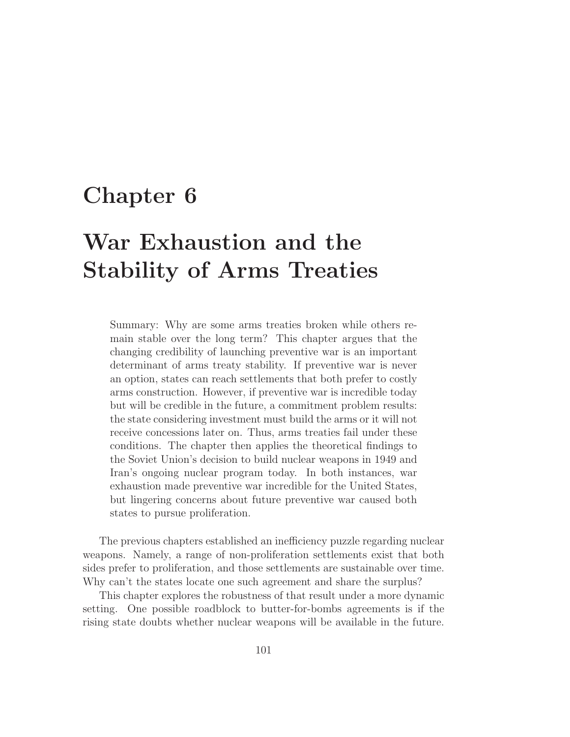# **Chapter 6**

# **War Exhaustion and the Stability of Arms Treaties**

Summary: Why are some arms treaties broken while others remain stable over the long term? This chapter argues that the changing credibility of launching preventive war is an important determinant of arms treaty stability. If preventive war is never an option, states can reach settlements that both prefer to costly arms construction. However, if preventive war is incredible today but will be credible in the future, a commitment problem results: the state considering investment must build the arms or it will not receive concessions later on. Thus, arms treaties fail under these conditions. The chapter then applies the theoretical findings to the Soviet Union's decision to build nuclear weapons in 1949 and Iran's ongoing nuclear program today. In both instances, war exhaustion made preventive war incredible for the United States, but lingering concerns about future preventive war caused both states to pursue proliferation.

The previous chapters established an inefficiency puzzle regarding nuclear weapons. Namely, a range of non-proliferation settlements exist that both sides prefer to proliferation, and those settlements are sustainable over time. Why can't the states locate one such agreement and share the surplus?

This chapter explores the robustness of that result under a more dynamic setting. One possible roadblock to butter-for-bombs agreements is if the rising state doubts whether nuclear weapons will be available in the future.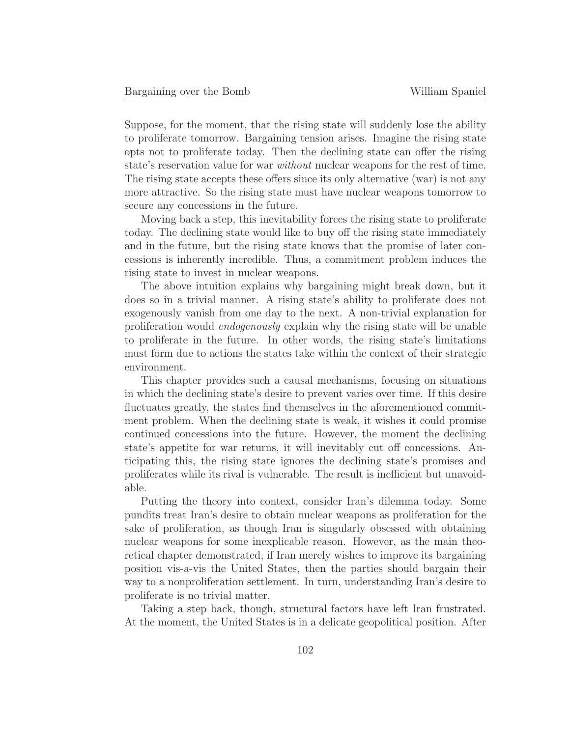Suppose, for the moment, that the rising state will suddenly lose the ability to proliferate tomorrow. Bargaining tension arises. Imagine the rising state opts not to proliferate today. Then the declining state can offer the rising state's reservation value for war without nuclear weapons for the rest of time. The rising state accepts these offers since its only alternative (war) is not any more attractive. So the rising state must have nuclear weapons tomorrow to secure any concessions in the future.

Moving back a step, this inevitability forces the rising state to proliferate today. The declining state would like to buy off the rising state immediately and in the future, but the rising state knows that the promise of later concessions is inherently incredible. Thus, a commitment problem induces the rising state to invest in nuclear weapons.

The above intuition explains why bargaining might break down, but it does so in a trivial manner. A rising state's ability to proliferate does not exogenously vanish from one day to the next. A non-trivial explanation for proliferation would endogenously explain why the rising state will be unable to proliferate in the future. In other words, the rising state's limitations must form due to actions the states take within the context of their strategic environment.

This chapter provides such a causal mechanisms, focusing on situations in which the declining state's desire to prevent varies over time. If this desire fluctuates greatly, the states find themselves in the aforementioned commitment problem. When the declining state is weak, it wishes it could promise continued concessions into the future. However, the moment the declining state's appetite for war returns, it will inevitably cut off concessions. Anticipating this, the rising state ignores the declining state's promises and proliferates while its rival is vulnerable. The result is inefficient but unavoidable.

Putting the theory into context, consider Iran's dilemma today. Some pundits treat Iran's desire to obtain nuclear weapons as proliferation for the sake of proliferation, as though Iran is singularly obsessed with obtaining nuclear weapons for some inexplicable reason. However, as the main theoretical chapter demonstrated, if Iran merely wishes to improve its bargaining position vis-a-vis the United States, then the parties should bargain their way to a nonproliferation settlement. In turn, understanding Iran's desire to proliferate is no trivial matter.

Taking a step back, though, structural factors have left Iran frustrated. At the moment, the United States is in a delicate geopolitical position. After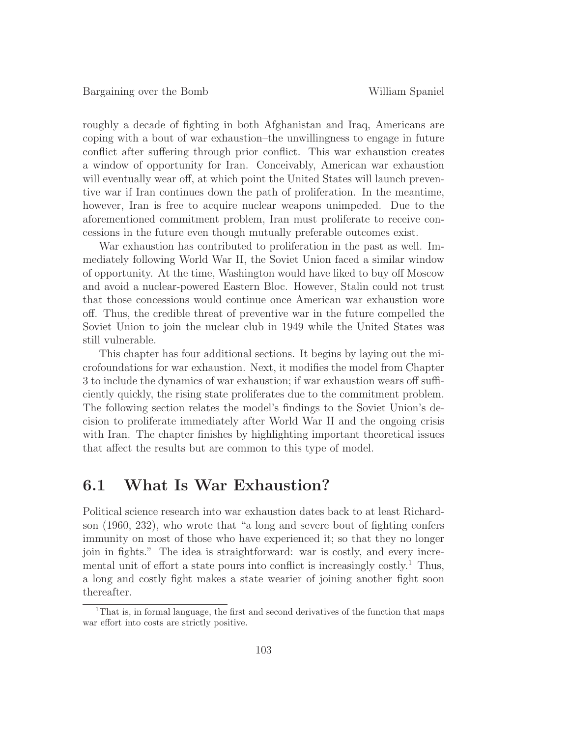roughly a decade of fighting in both Afghanistan and Iraq, Americans are coping with a bout of war exhaustion–the unwillingness to engage in future conflict after suffering through prior conflict. This war exhaustion creates a window of opportunity for Iran. Conceivably, American war exhaustion will eventually wear off, at which point the United States will launch preventive war if Iran continues down the path of proliferation. In the meantime, however, Iran is free to acquire nuclear weapons unimpeded. Due to the aforementioned commitment problem, Iran must proliferate to receive concessions in the future even though mutually preferable outcomes exist.

War exhaustion has contributed to proliferation in the past as well. Immediately following World War II, the Soviet Union faced a similar window of opportunity. At the time, Washington would have liked to buy off Moscow and avoid a nuclear-powered Eastern Bloc. However, Stalin could not trust that those concessions would continue once American war exhaustion wore off. Thus, the credible threat of preventive war in the future compelled the Soviet Union to join the nuclear club in 1949 while the United States was still vulnerable.

This chapter has four additional sections. It begins by laying out the microfoundations for war exhaustion. Next, it modifies the model from Chapter 3 to include the dynamics of war exhaustion; if war exhaustion wears off sufficiently quickly, the rising state proliferates due to the commitment problem. The following section relates the model's findings to the Soviet Union's decision to proliferate immediately after World War II and the ongoing crisis with Iran. The chapter finishes by highlighting important theoretical issues that affect the results but are common to this type of model.

# **6.1 What Is War Exhaustion?**

Political science research into war exhaustion dates back to at least Richardson (1960, 232), who wrote that "a long and severe bout of fighting confers immunity on most of those who have experienced it; so that they no longer join in fights." The idea is straightforward: war is costly, and every incremental unit of effort a state pours into conflict is increasingly  $costly<sup>1</sup>$ . Thus, a long and costly fight makes a state wearier of joining another fight soon thereafter.

<sup>&</sup>lt;sup>1</sup>That is, in formal language, the first and second derivatives of the function that maps war effort into costs are strictly positive.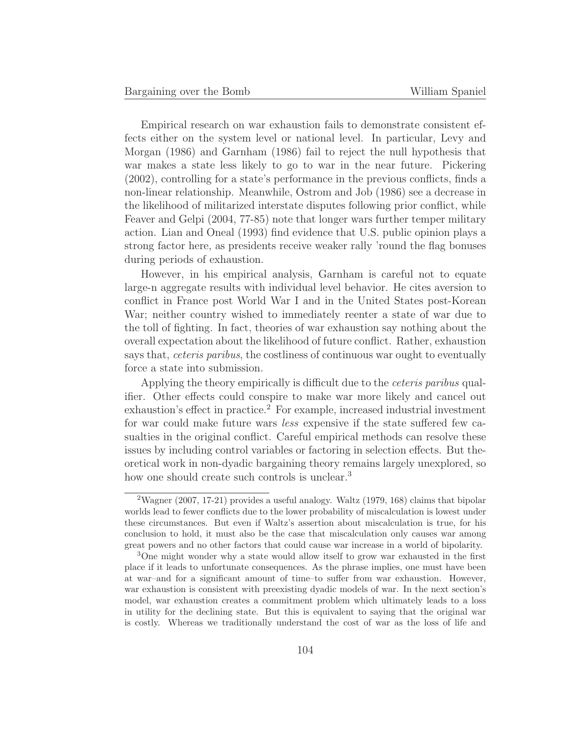Empirical research on war exhaustion fails to demonstrate consistent effects either on the system level or national level. In particular, Levy and Morgan (1986) and Garnham (1986) fail to reject the null hypothesis that war makes a state less likely to go to war in the near future. Pickering (2002), controlling for a state's performance in the previous conflicts, finds a non-linear relationship. Meanwhile, Ostrom and Job (1986) see a decrease in the likelihood of militarized interstate disputes following prior conflict, while Feaver and Gelpi (2004, 77-85) note that longer wars further temper military action. Lian and Oneal (1993) find evidence that U.S. public opinion plays a strong factor here, as presidents receive weaker rally 'round the flag bonuses during periods of exhaustion.

However, in his empirical analysis, Garnham is careful not to equate large-n aggregate results with individual level behavior. He cites aversion to conflict in France post World War I and in the United States post-Korean War; neither country wished to immediately reenter a state of war due to the toll of fighting. In fact, theories of war exhaustion say nothing about the overall expectation about the likelihood of future conflict. Rather, exhaustion says that, *ceteris paribus*, the costliness of continuous war ought to eventually force a state into submission.

Applying the theory empirically is difficult due to the ceteris paribus qualifier. Other effects could conspire to make war more likely and cancel out exhaustion's effect in practice.<sup>2</sup> For example, increased industrial investment for war could make future wars less expensive if the state suffered few casualties in the original conflict. Careful empirical methods can resolve these issues by including control variables or factoring in selection effects. But theoretical work in non-dyadic bargaining theory remains largely unexplored, so how one should create such controls is unclear.<sup>3</sup>

<sup>&</sup>lt;sup>2</sup>Wagner (2007, 17-21) provides a useful analogy. Waltz (1979, 168) claims that bipolar worlds lead to fewer conflicts due to the lower probability of miscalculation is lowest under these circumstances. But even if Waltz's assertion about miscalculation is true, for his conclusion to hold, it must also be the case that miscalculation only causes war among great powers and no other factors that could cause war increase in a world of bipolarity.

<sup>3</sup>One might wonder why a state would allow itself to grow war exhausted in the first place if it leads to unfortunate consequences. As the phrase implies, one must have been at war–and for a significant amount of time–to suffer from war exhaustion. However, war exhaustion is consistent with preexisting dyadic models of war. In the next section's model, war exhaustion creates a commitment problem which ultimately leads to a loss in utility for the declining state. But this is equivalent to saying that the original war is costly. Whereas we traditionally understand the cost of war as the loss of life and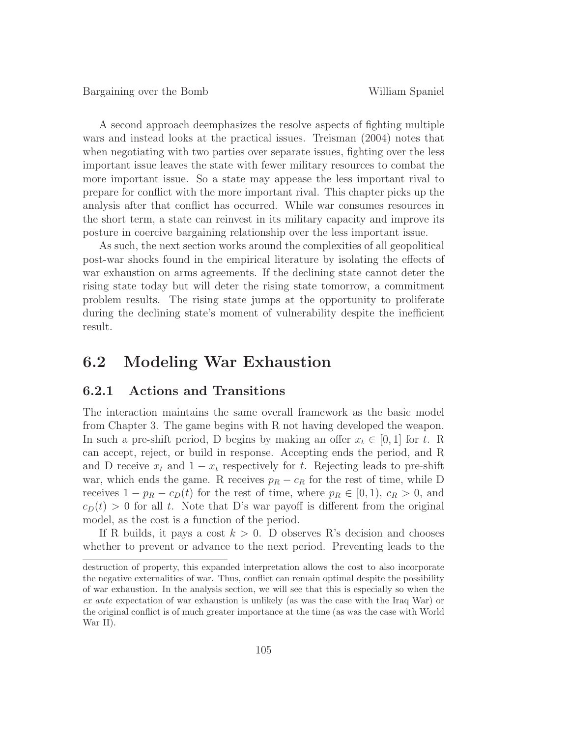A second approach deemphasizes the resolve aspects of fighting multiple wars and instead looks at the practical issues. Treisman (2004) notes that when negotiating with two parties over separate issues, fighting over the less important issue leaves the state with fewer military resources to combat the more important issue. So a state may appease the less important rival to prepare for conflict with the more important rival. This chapter picks up the analysis after that conflict has occurred. While war consumes resources in the short term, a state can reinvest in its military capacity and improve its posture in coercive bargaining relationship over the less important issue.

As such, the next section works around the complexities of all geopolitical post-war shocks found in the empirical literature by isolating the effects of war exhaustion on arms agreements. If the declining state cannot deter the rising state today but will deter the rising state tomorrow, a commitment problem results. The rising state jumps at the opportunity to proliferate during the declining state's moment of vulnerability despite the inefficient result.

# **6.2 Modeling War Exhaustion**

## **6.2.1 Actions and Transitions**

The interaction maintains the same overall framework as the basic model from Chapter 3. The game begins with R not having developed the weapon. In such a pre-shift period, D begins by making an offer  $x_t \in [0, 1]$  for t. R can accept, reject, or build in response. Accepting ends the period, and R and D receive  $x_t$  and  $1 - x_t$  respectively for t. Rejecting leads to pre-shift war, which ends the game. R receives  $p_R - c_R$  for the rest of time, while D receives  $1 - p_R - c_D(t)$  for the rest of time, where  $p_R \in [0, 1)$ ,  $c_R > 0$ , and  $c_D(t) > 0$  for all t. Note that D's war payoff is different from the original model, as the cost is a function of the period.

If R builds, it pays a cost  $k > 0$ . D observes R's decision and chooses whether to prevent or advance to the next period. Preventing leads to the

destruction of property, this expanded interpretation allows the cost to also incorporate the negative externalities of war. Thus, conflict can remain optimal despite the possibility of war exhaustion. In the analysis section, we will see that this is especially so when the ex ante expectation of war exhaustion is unlikely (as was the case with the Iraq War) or the original conflict is of much greater importance at the time (as was the case with World War II).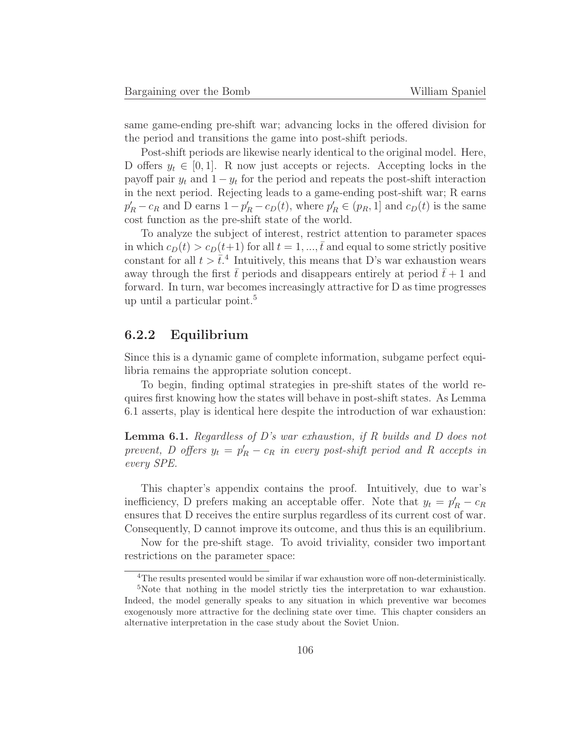same game-ending pre-shift war; advancing locks in the offered division for the period and transitions the game into post-shift periods.

Post-shift periods are likewise nearly identical to the original model. Here, D offers  $y_t \in [0, 1]$ . R now just accepts or rejects. Accepting locks in the payoff pair  $y_t$  and  $1 - y_t$  for the period and repeats the post-shift interaction in the next period. Rejecting leads to a game-ending post-shift war; R earns  $p'_R - c_R$  and D earns  $1 - p'_R - c_D(t)$ , where  $p'_R \in (p_R, 1]$  and  $c_D(t)$  is the same cost function as the pre-shift state of the world.

To analyze the subject of interest, restrict attention to parameter spaces in which  $c_D(t) > c_D(t+1)$  for all  $t = 1, ..., \bar{t}$  and equal to some strictly positive constant for all  $t > \overline{t}^4$ . Intuitively, this means that D's war exhaustion wears away through the first  $\bar{t}$  periods and disappears entirely at period  $\bar{t}+1$  and forward. In turn, war becomes increasingly attractive for D as time progresses up until a particular point.<sup>5</sup>

#### **6.2.2 Equilibrium**

Since this is a dynamic game of complete information, subgame perfect equilibria remains the appropriate solution concept.

To begin, finding optimal strategies in pre-shift states of the world requires first knowing how the states will behave in post-shift states. As Lemma 6.1 asserts, play is identical here despite the introduction of war exhaustion:

**Lemma 6.1.** Regardless of D's war exhaustion, if R builds and D does not prevent, D offers  $y_t = p'_R - c_R$  in every post-shift period and R accepts in every SPE.

This chapter's appendix contains the proof. Intuitively, due to war's inefficiency, D prefers making an acceptable offer. Note that  $y_t = p'_R - c_R$ ensures that D receives the entire surplus regardless of its current cost of war. Consequently, D cannot improve its outcome, and thus this is an equilibrium.

Now for the pre-shift stage. To avoid triviality, consider two important restrictions on the parameter space:

<sup>&</sup>lt;sup>4</sup>The results presented would be similar if war exhaustion wore off non-deterministically.

<sup>&</sup>lt;sup>5</sup>Note that nothing in the model strictly ties the interpretation to war exhaustion. Indeed, the model generally speaks to any situation in which preventive war becomes exogenously more attractive for the declining state over time. This chapter considers an alternative interpretation in the case study about the Soviet Union.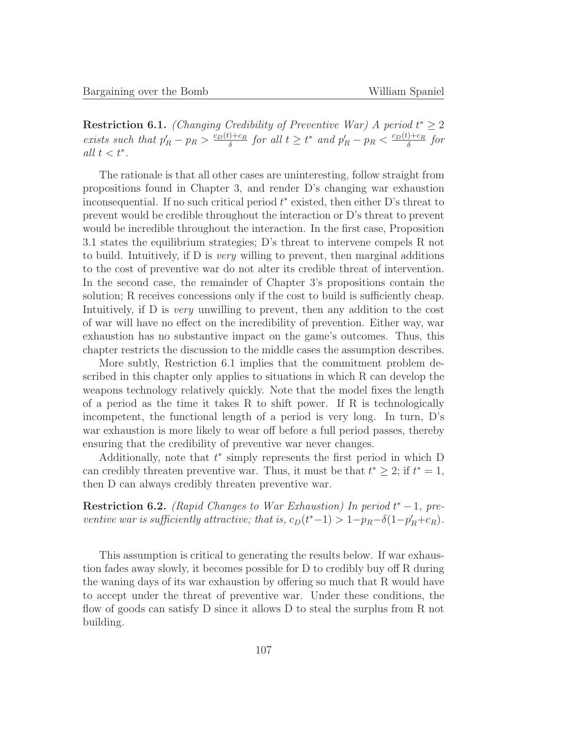**Restriction 6.1.** (Changing Credibility of Preventive War) A period  $t^* \geq 2$ exists such that  $p'_R - p_R > \frac{c_D(t) + c_R}{\delta}$  for all  $t \ge t^*$  and  $p'_R - p_R < \frac{c_D(t) + c_R}{\delta}$  for all  $t < t^*$ .

The rationale is that all other cases are uninteresting, follow straight from propositions found in Chapter 3, and render D's changing war exhaustion inconsequential. If no such critical period  $t^*$  existed, then either D's threat to prevent would be credible throughout the interaction or D's threat to prevent would be incredible throughout the interaction. In the first case, Proposition 3.1 states the equilibrium strategies; D's threat to intervene compels R not to build. Intuitively, if D is very willing to prevent, then marginal additions to the cost of preventive war do not alter its credible threat of intervention. In the second case, the remainder of Chapter 3's propositions contain the solution; R receives concessions only if the cost to build is sufficiently cheap. Intuitively, if D is very unwilling to prevent, then any addition to the cost of war will have no effect on the incredibility of prevention. Either way, war exhaustion has no substantive impact on the game's outcomes. Thus, this chapter restricts the discussion to the middle cases the assumption describes.

More subtly, Restriction 6.1 implies that the commitment problem described in this chapter only applies to situations in which R can develop the weapons technology relatively quickly. Note that the model fixes the length of a period as the time it takes R to shift power. If R is technologically incompetent, the functional length of a period is very long. In turn, D's war exhaustion is more likely to wear off before a full period passes, thereby ensuring that the credibility of preventive war never changes.

Additionally, note that  $t^*$  simply represents the first period in which D can credibly threaten preventive war. Thus, it must be that  $t^* \geq 2$ ; if  $t^* = 1$ , then D can always credibly threaten preventive war.

**Restriction 6.2.** (Rapid Changes to War Exhaustion) In period  $t^* - 1$ , preventive war is sufficiently attractive; that is,  $c_D(t^*-1) > 1-p_R-\delta(1-p'_R+c_R)$ .

This assumption is critical to generating the results below. If war exhaustion fades away slowly, it becomes possible for D to credibly buy off R during the waning days of its war exhaustion by offering so much that R would have to accept under the threat of preventive war. Under these conditions, the flow of goods can satisfy D since it allows D to steal the surplus from R not building.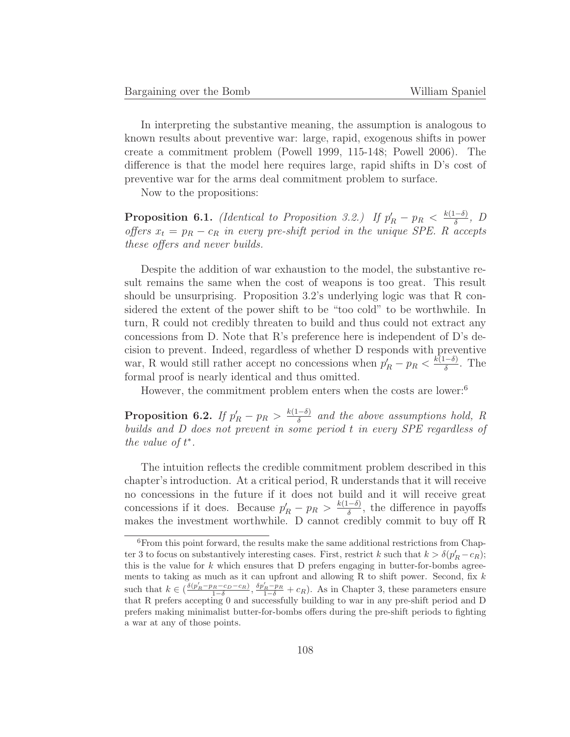In interpreting the substantive meaning, the assumption is analogous to known results about preventive war: large, rapid, exogenous shifts in power create a commitment problem (Powell 1999, 115-148; Powell 2006). The difference is that the model here requires large, rapid shifts in D's cost of preventive war for the arms deal commitment problem to surface.

Now to the propositions:

**Proposition 6.1.** (Identical to Proposition 3.2.) If  $p'_R - p_R < \frac{k(1-\delta)}{\delta}$ , D offers  $x_t = p_R - c_R$  in every pre-shift period in the unique SPE. R accepts these offers and never builds.

Despite the addition of war exhaustion to the model, the substantive result remains the same when the cost of weapons is too great. This result should be unsurprising. Proposition 3.2's underlying logic was that R considered the extent of the power shift to be "too cold" to be worthwhile. In turn, R could not credibly threaten to build and thus could not extract any concessions from D. Note that R's preference here is independent of D's decision to prevent. Indeed, regardless of whether D responds with preventive war, R would still rather accept no concessions when  $p'_R - p_R < \frac{k(1-\delta)}{\delta}$ . The formal proof is nearly identical and thus omitted.

However, the commitment problem enters when the costs are lower:<sup>6</sup>

**Proposition 6.2.** If  $p'_R - p_R > \frac{k(1-\delta)}{\delta}$  and the above assumptions hold, R builds and D does not prevent in some period t in every SPE regardless of the value of  $t^*$ .

The intuition reflects the credible commitment problem described in this chapter's introduction. At a critical period, R understands that it will receive no concessions in the future if it does not build and it will receive great concessions if it does. Because  $p'_R - p_R > \frac{k(1-\delta)}{\delta}$ , the difference in payoffs makes the investment worthwhile. D cannot credibly commit to buy off R

 $^6$  From this point forward, the results make the same additional restrictions from Chapter 3 to focus on substantively interesting cases. First, restrict k such that  $k > \delta(p'_R - c_R)$ ; this is the value for  $k$  which ensures that D prefers engaging in butter-for-bombs agreements to taking as much as it can upfront and allowing R to shift power. Second, fix  $k$ such that  $k \in \left(\frac{\delta(p'_R-p_R-c_D-c_R)}{1-\delta}, \frac{\delta p'_R-p_R}{1-\delta}+c_R\right)$ . As in Chapter 3, these parameters ensure that R prefers accepting 0 and successfully building to war in any pre-shift period and D prefers making minimalist butter-for-bombs offers during the pre-shift periods to fighting a war at any of those points.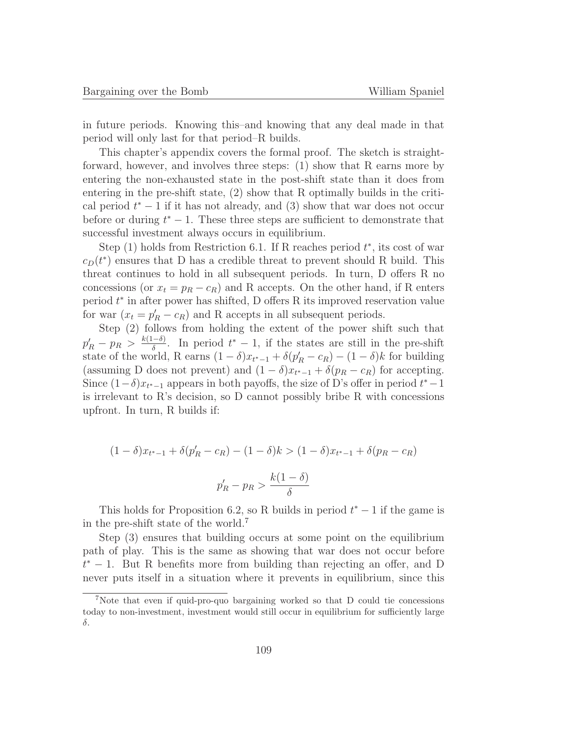in future periods. Knowing this–and knowing that any deal made in that period will only last for that period–R builds.

This chapter's appendix covers the formal proof. The sketch is straightforward, however, and involves three steps: (1) show that R earns more by entering the non-exhausted state in the post-shift state than it does from entering in the pre-shift state, (2) show that R optimally builds in the critical period  $t^* - 1$  if it has not already, and (3) show that war does not occur before or during  $t^* - 1$ . These three steps are sufficient to demonstrate that successful investment always occurs in equilibrium.

Step  $(1)$  holds from Restriction 6.1. If R reaches period  $t^*$ , its cost of war  $c<sub>D</sub>(t<sup>*</sup>)$  ensures that D has a credible threat to prevent should R build. This threat continues to hold in all subsequent periods. In turn, D offers R no concessions (or  $x_t = p_R - c_R$ ) and R accepts. On the other hand, if R enters period  $t^*$  in after power has shifted, D offers R its improved reservation value for war  $(x_t = p'_R - c_R)$  and R accepts in all subsequent periods.

Step (2) follows from holding the extent of the power shift such that  $p'_R - p_R > \frac{k(1-\delta)}{\delta}$ . In period  $t^* - 1$ , if the states are still in the pre-shift state of the world, R earns  $(1 - \delta)x_{t^*-1} + \delta(p'_R - c_R) - (1 - \delta)k$  for building (assuming D does not prevent) and  $(1 - \delta)x_{t^*-1} + \delta(p_R - c_R)$  for accepting. Since  $(1-\delta)x_{t^*-1}$  appears in both payoffs, the size of D's offer in period  $t^*-1$ is irrelevant to R's decision, so  $D$  cannot possibly bribe  $R$  with concessions upfront. In turn, R builds if:

$$
(1 - \delta)x_{t^{*}-1} + \delta(p'_R - c_R) - (1 - \delta)k > (1 - \delta)x_{t^{*}-1} + \delta(p_R - c_R)
$$
\n
$$
p'_R - p_R > \frac{k(1 - \delta)}{\delta}
$$

This holds for Proposition 6.2, so R builds in period  $t^* - 1$  if the game is in the pre-shift state of the world.<sup>7</sup>

Step (3) ensures that building occurs at some point on the equilibrium path of play. This is the same as showing that war does not occur before t <sup>∗</sup> − 1. But R benefits more from building than rejecting an offer, and D never puts itself in a situation where it prevents in equilibrium, since this

<sup>7</sup>Note that even if quid-pro-quo bargaining worked so that D could tie concessions today to non-investment, investment would still occur in equilibrium for sufficiently large δ.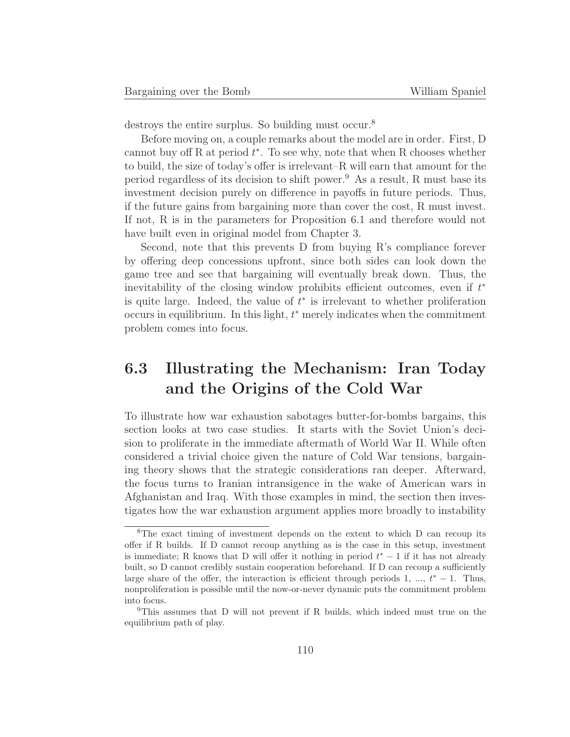destroys the entire surplus. So building must occur.<sup>8</sup>

Before moving on, a couple remarks about the model are in order. First, D cannot buy off R at period  $t^*$ . To see why, note that when R chooses whether to build, the size of today's offer is irrelevant–R will earn that amount for the period regardless of its decision to shift power.<sup>9</sup> As a result, R must base its investment decision purely on difference in payoffs in future periods. Thus, if the future gains from bargaining more than cover the cost, R must invest. If not, R is in the parameters for Proposition 6.1 and therefore would not have built even in original model from Chapter 3.

Second, note that this prevents D from buying  $R$ 's compliance forever by offering deep concessions upfront, since both sides can look down the game tree and see that bargaining will eventually break down. Thus, the inevitability of the closing window prohibits efficient outcomes, even if  $t^*$ is quite large. Indeed, the value of  $t^*$  is irrelevant to whether proliferation occurs in equilibrium. In this light,  $t^*$  merely indicates when the commitment problem comes into focus.

# **6.3 Illustrating the Mechanism: Iran Today and the Origins of the Cold War**

To illustrate how war exhaustion sabotages butter-for-bombs bargains, this section looks at two case studies. It starts with the Soviet Union's decision to proliferate in the immediate aftermath of World War II. While often considered a trivial choice given the nature of Cold War tensions, bargaining theory shows that the strategic considerations ran deeper. Afterward, the focus turns to Iranian intransigence in the wake of American wars in Afghanistan and Iraq. With those examples in mind, the section then investigates how the war exhaustion argument applies more broadly to instability

<sup>8</sup>The exact timing of investment depends on the extent to which D can recoup its offer if R builds. If D cannot recoup anything as is the case in this setup, investment is immediate; R knows that D will offer it nothing in period  $t^* - 1$  if it has not already built, so D cannot credibly sustain cooperation beforehand. If D can recoup a sufficiently large share of the offer, the interaction is efficient through periods 1, ...,  $t^* - 1$ . Thus, nonproliferation is possible until the now-or-never dynamic puts the commitment problem into focus.

<sup>9</sup>This assumes that D will not prevent if R builds, which indeed must true on the equilibrium path of play.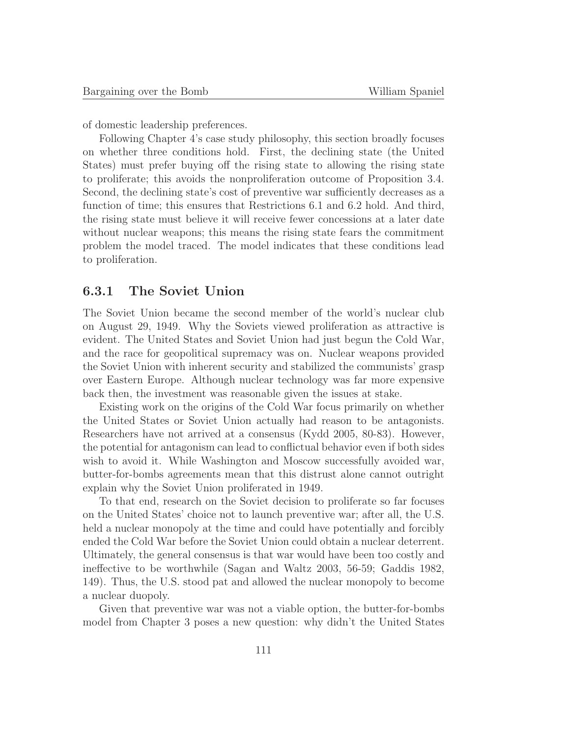of domestic leadership preferences.

Following Chapter 4's case study philosophy, this section broadly focuses on whether three conditions hold. First, the declining state (the United States) must prefer buying off the rising state to allowing the rising state to proliferate; this avoids the nonproliferation outcome of Proposition 3.4. Second, the declining state's cost of preventive war sufficiently decreases as a function of time; this ensures that Restrictions 6.1 and 6.2 hold. And third, the rising state must believe it will receive fewer concessions at a later date without nuclear weapons; this means the rising state fears the commitment problem the model traced. The model indicates that these conditions lead to proliferation.

### **6.3.1 The Soviet Union**

The Soviet Union became the second member of the world's nuclear club on August 29, 1949. Why the Soviets viewed proliferation as attractive is evident. The United States and Soviet Union had just begun the Cold War, and the race for geopolitical supremacy was on. Nuclear weapons provided the Soviet Union with inherent security and stabilized the communists' grasp over Eastern Europe. Although nuclear technology was far more expensive back then, the investment was reasonable given the issues at stake.

Existing work on the origins of the Cold War focus primarily on whether the United States or Soviet Union actually had reason to be antagonists. Researchers have not arrived at a consensus (Kydd 2005, 80-83). However, the potential for antagonism can lead to conflictual behavior even if both sides wish to avoid it. While Washington and Moscow successfully avoided war, butter-for-bombs agreements mean that this distrust alone cannot outright explain why the Soviet Union proliferated in 1949.

To that end, research on the Soviet decision to proliferate so far focuses on the United States' choice not to launch preventive war; after all, the U.S. held a nuclear monopoly at the time and could have potentially and forcibly ended the Cold War before the Soviet Union could obtain a nuclear deterrent. Ultimately, the general consensus is that war would have been too costly and ineffective to be worthwhile (Sagan and Waltz 2003, 56-59; Gaddis 1982, 149). Thus, the U.S. stood pat and allowed the nuclear monopoly to become a nuclear duopoly.

Given that preventive war was not a viable option, the butter-for-bombs model from Chapter 3 poses a new question: why didn't the United States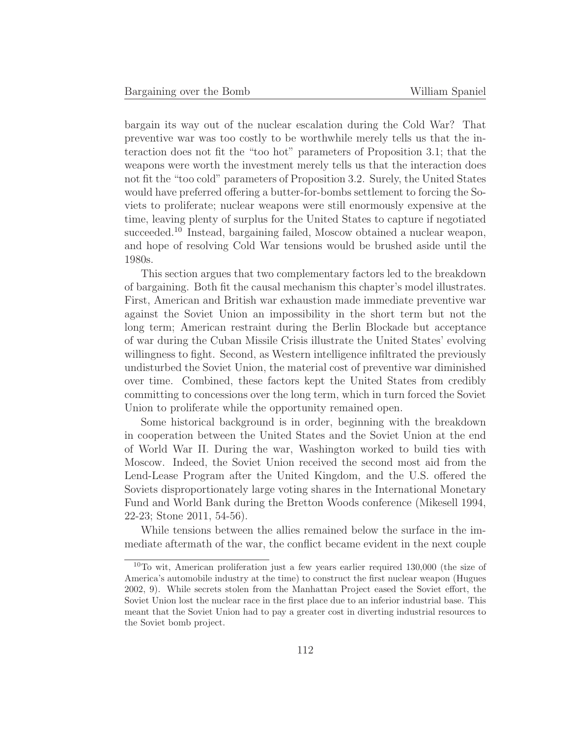bargain its way out of the nuclear escalation during the Cold War? That preventive war was too costly to be worthwhile merely tells us that the interaction does not fit the "too hot" parameters of Proposition 3.1; that the weapons were worth the investment merely tells us that the interaction does not fit the "too cold" parameters of Proposition 3.2. Surely, the United States would have preferred offering a butter-for-bombs settlement to forcing the Soviets to proliferate; nuclear weapons were still enormously expensive at the time, leaving plenty of surplus for the United States to capture if negotiated succeeded.<sup>10</sup> Instead, bargaining failed, Moscow obtained a nuclear weapon, and hope of resolving Cold War tensions would be brushed aside until the 1980s.

This section argues that two complementary factors led to the breakdown of bargaining. Both fit the causal mechanism this chapter's model illustrates. First, American and British war exhaustion made immediate preventive war against the Soviet Union an impossibility in the short term but not the long term; American restraint during the Berlin Blockade but acceptance of war during the Cuban Missile Crisis illustrate the United States' evolving willingness to fight. Second, as Western intelligence infiltrated the previously undisturbed the Soviet Union, the material cost of preventive war diminished over time. Combined, these factors kept the United States from credibly committing to concessions over the long term, which in turn forced the Soviet Union to proliferate while the opportunity remained open.

Some historical background is in order, beginning with the breakdown in cooperation between the United States and the Soviet Union at the end of World War II. During the war, Washington worked to build ties with Moscow. Indeed, the Soviet Union received the second most aid from the Lend-Lease Program after the United Kingdom, and the U.S. offered the Soviets disproportionately large voting shares in the International Monetary Fund and World Bank during the Bretton Woods conference (Mikesell 1994, 22-23; Stone 2011, 54-56).

While tensions between the allies remained below the surface in the immediate aftermath of the war, the conflict became evident in the next couple

<sup>10</sup>To wit, American proliferation just a few years earlier required 130,000 (the size of America's automobile industry at the time) to construct the first nuclear weapon (Hugues 2002, 9). While secrets stolen from the Manhattan Project eased the Soviet effort, the Soviet Union lost the nuclear race in the first place due to an inferior industrial base. This meant that the Soviet Union had to pay a greater cost in diverting industrial resources to the Soviet bomb project.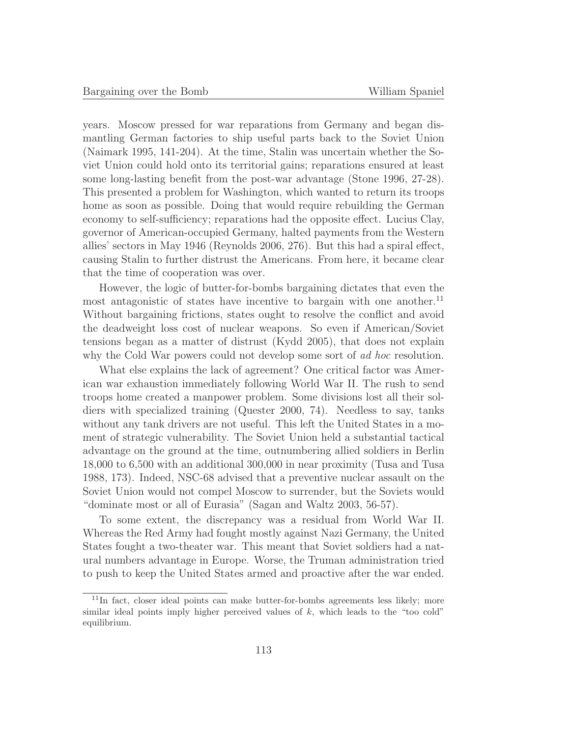years. Moscow pressed for war reparations from Germany and began dismantling German factories to ship useful parts back to the Soviet Union (Naimark 1995, 141-204). At the time, Stalin was uncertain whether the Soviet Union could hold onto its territorial gains; reparations ensured at least some long-lasting benefit from the post-war advantage (Stone 1996, 27-28). This presented a problem for Washington, which wanted to return its troops home as soon as possible. Doing that would require rebuilding the German economy to self-sufficiency; reparations had the opposite effect. Lucius Clay, governor of American-occupied Germany, halted payments from the Western allies' sectors in May 1946 (Reynolds 2006, 276). But this had a spiral effect, causing Stalin to further distrust the Americans. From here, it became clear that the time of cooperation was over.

However, the logic of butter-for-bombs bargaining dictates that even the most antagonistic of states have incentive to bargain with one another.<sup>11</sup> Without bargaining frictions, states ought to resolve the conflict and avoid the deadweight loss cost of nuclear weapons. So even if American/Soviet tensions began as a matter of distrust (Kydd 2005), that does not explain why the Cold War powers could not develop some sort of ad hoc resolution.

What else explains the lack of agreement? One critical factor was American war exhaustion immediately following World War II. The rush to send troops home created a manpower problem. Some divisions lost all their soldiers with specialized training (Quester 2000, 74). Needless to say, tanks without any tank drivers are not useful. This left the United States in a moment of strategic vulnerability. The Soviet Union held a substantial tactical advantage on the ground at the time, outnumbering allied soldiers in Berlin 18,000 to 6,500 with an additional 300,000 in near proximity (Tusa and Tusa 1988, 173). Indeed, NSC-68 advised that a preventive nuclear assault on the Soviet Union would not compel Moscow to surrender, but the Soviets would "dominate most or all of Eurasia" (Sagan and Waltz 2003, 56-57).

To some extent, the discrepancy was a residual from World War II. Whereas the Red Army had fought mostly against Nazi Germany, the United States fought a two-theater war. This meant that Soviet soldiers had a natural numbers advantage in Europe. Worse, the Truman administration tried to push to keep the United States armed and proactive after the war ended.

<sup>11</sup>In fact, closer ideal points can make butter-for-bombs agreements less likely; more similar ideal points imply higher perceived values of k, which leads to the "too cold" equilibrium.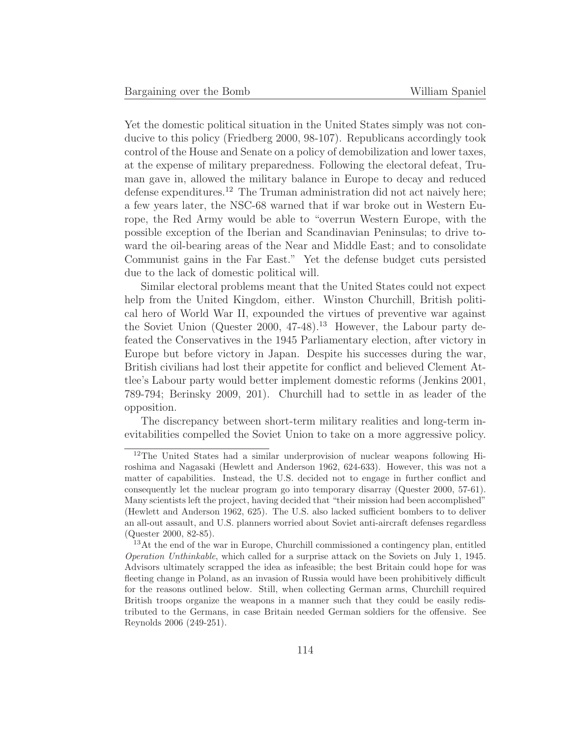Yet the domestic political situation in the United States simply was not conducive to this policy (Friedberg 2000, 98-107). Republicans accordingly took control of the House and Senate on a policy of demobilization and lower taxes, at the expense of military preparedness. Following the electoral defeat, Truman gave in, allowed the military balance in Europe to decay and reduced defense expenditures.<sup>12</sup> The Truman administration did not act naively here; a few years later, the NSC-68 warned that if war broke out in Western Europe, the Red Army would be able to "overrun Western Europe, with the possible exception of the Iberian and Scandinavian Peninsulas; to drive toward the oil-bearing areas of the Near and Middle East; and to consolidate Communist gains in the Far East." Yet the defense budget cuts persisted due to the lack of domestic political will.

Similar electoral problems meant that the United States could not expect help from the United Kingdom, either. Winston Churchill, British political hero of World War II, expounded the virtues of preventive war against the Soviet Union (Quester 2000,  $47-48$ ).<sup>13</sup> However, the Labour party defeated the Conservatives in the 1945 Parliamentary election, after victory in Europe but before victory in Japan. Despite his successes during the war, British civilians had lost their appetite for conflict and believed Clement Attlee's Labour party would better implement domestic reforms (Jenkins 2001, 789-794; Berinsky 2009, 201). Churchill had to settle in as leader of the opposition.

The discrepancy between short-term military realities and long-term inevitabilities compelled the Soviet Union to take on a more aggressive policy.

<sup>12</sup>The United States had a similar underprovision of nuclear weapons following Hiroshima and Nagasaki (Hewlett and Anderson 1962, 624-633). However, this was not a matter of capabilities. Instead, the U.S. decided not to engage in further conflict and consequently let the nuclear program go into temporary disarray (Quester 2000, 57-61). Many scientists left the project, having decided that "their mission had been accomplished" (Hewlett and Anderson 1962, 625). The U.S. also lacked sufficient bombers to to deliver an all-out assault, and U.S. planners worried about Soviet anti-aircraft defenses regardless (Quester 2000, 82-85).

<sup>&</sup>lt;sup>13</sup>At the end of the war in Europe, Churchill commissioned a contingency plan, entitled Operation Unthinkable, which called for a surprise attack on the Soviets on July 1, 1945. Advisors ultimately scrapped the idea as infeasible; the best Britain could hope for was fleeting change in Poland, as an invasion of Russia would have been prohibitively difficult for the reasons outlined below. Still, when collecting German arms, Churchill required British troops organize the weapons in a manner such that they could be easily redistributed to the Germans, in case Britain needed German soldiers for the offensive. See Reynolds 2006 (249-251).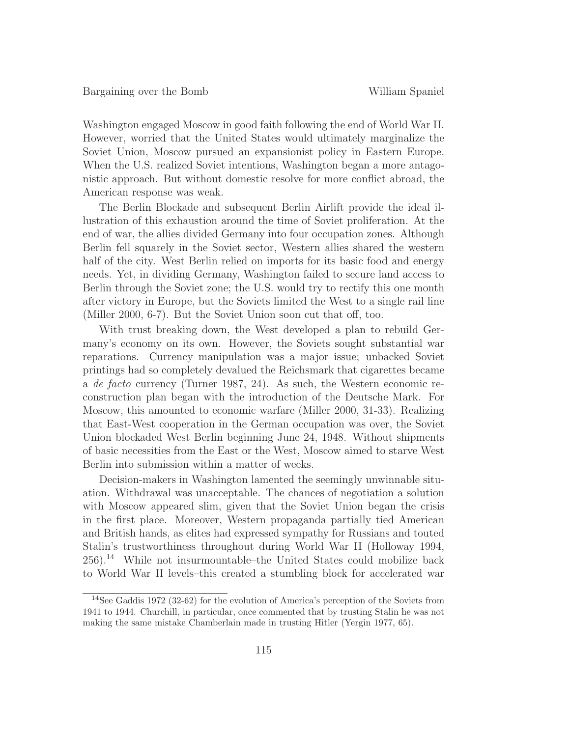Washington engaged Moscow in good faith following the end of World War II. However, worried that the United States would ultimately marginalize the Soviet Union, Moscow pursued an expansionist policy in Eastern Europe. When the U.S. realized Soviet intentions, Washington began a more antagonistic approach. But without domestic resolve for more conflict abroad, the American response was weak.

The Berlin Blockade and subsequent Berlin Airlift provide the ideal illustration of this exhaustion around the time of Soviet proliferation. At the end of war, the allies divided Germany into four occupation zones. Although Berlin fell squarely in the Soviet sector, Western allies shared the western half of the city. West Berlin relied on imports for its basic food and energy needs. Yet, in dividing Germany, Washington failed to secure land access to Berlin through the Soviet zone; the U.S. would try to rectify this one month after victory in Europe, but the Soviets limited the West to a single rail line (Miller 2000, 6-7). But the Soviet Union soon cut that off, too.

With trust breaking down, the West developed a plan to rebuild Germany's economy on its own. However, the Soviets sought substantial war reparations. Currency manipulation was a major issue; unbacked Soviet printings had so completely devalued the Reichsmark that cigarettes became a de facto currency (Turner 1987, 24). As such, the Western economic reconstruction plan began with the introduction of the Deutsche Mark. For Moscow, this amounted to economic warfare (Miller 2000, 31-33). Realizing that East-West cooperation in the German occupation was over, the Soviet Union blockaded West Berlin beginning June 24, 1948. Without shipments of basic necessities from the East or the West, Moscow aimed to starve West Berlin into submission within a matter of weeks.

Decision-makers in Washington lamented the seemingly unwinnable situation. Withdrawal was unacceptable. The chances of negotiation a solution with Moscow appeared slim, given that the Soviet Union began the crisis in the first place. Moreover, Western propaganda partially tied American and British hands, as elites had expressed sympathy for Russians and touted Stalin's trustworthiness throughout during World War II (Holloway 1994, 256).<sup>14</sup> While not insurmountable–the United States could mobilize back to World War II levels–this created a stumbling block for accelerated war

<sup>14</sup>See Gaddis 1972 (32-62) for the evolution of America's perception of the Soviets from 1941 to 1944. Churchill, in particular, once commented that by trusting Stalin he was not making the same mistake Chamberlain made in trusting Hitler (Yergin 1977, 65).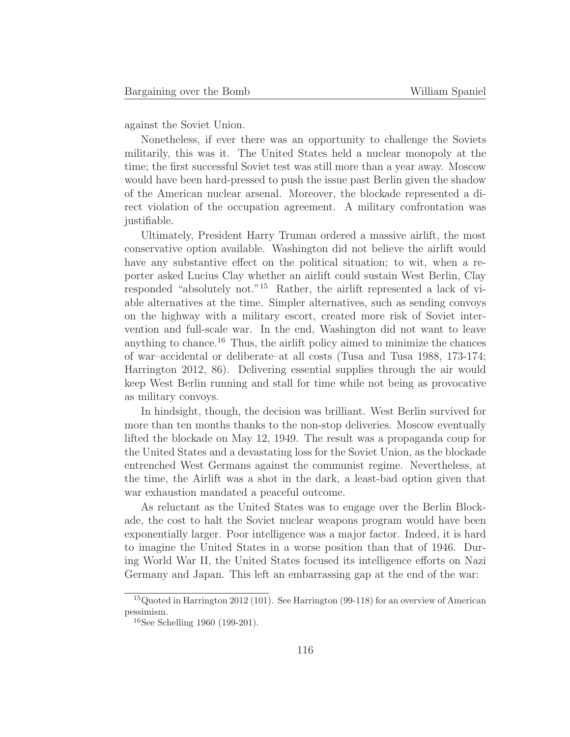against the Soviet Union.

Nonetheless, if ever there was an opportunity to challenge the Soviets militarily, this was it. The United States held a nuclear monopoly at the time; the first successful Soviet test was still more than a year away. Moscow would have been hard-pressed to push the issue past Berlin given the shadow of the American nuclear arsenal. Moreover, the blockade represented a direct violation of the occupation agreement. A military confrontation was justifiable.

Ultimately, President Harry Truman ordered a massive airlift, the most conservative option available. Washington did not believe the airlift would have any substantive effect on the political situation; to wit, when a reporter asked Lucius Clay whether an airlift could sustain West Berlin, Clay responded "absolutely not."<sup>15</sup> Rather, the airlift represented a lack of viable alternatives at the time. Simpler alternatives, such as sending convoys on the highway with a military escort, created more risk of Soviet intervention and full-scale war. In the end, Washington did not want to leave anything to chance.<sup>16</sup> Thus, the airlift policy aimed to minimize the chances of war–accidental or deliberate–at all costs (Tusa and Tusa 1988, 173-174; Harrington 2012, 86). Delivering essential supplies through the air would keep West Berlin running and stall for time while not being as provocative as military convoys.

In hindsight, though, the decision was brilliant. West Berlin survived for more than ten months thanks to the non-stop deliveries. Moscow eventually lifted the blockade on May 12, 1949. The result was a propaganda coup for the United States and a devastating loss for the Soviet Union, as the blockade entrenched West Germans against the communist regime. Nevertheless, at the time, the Airlift was a shot in the dark, a least-bad option given that war exhaustion mandated a peaceful outcome.

As reluctant as the United States was to engage over the Berlin Blockade, the cost to halt the Soviet nuclear weapons program would have been exponentially larger. Poor intelligence was a major factor. Indeed, it is hard to imagine the United States in a worse position than that of 1946. During World War II, the United States focused its intelligence efforts on Nazi Germany and Japan. This left an embarrassing gap at the end of the war:

<sup>&</sup>lt;sup>15</sup> Quoted in Harrington 2012 (101). See Harrington (99-118) for an overview of American pessimism.

 $16$ See Schelling 1960 (199-201).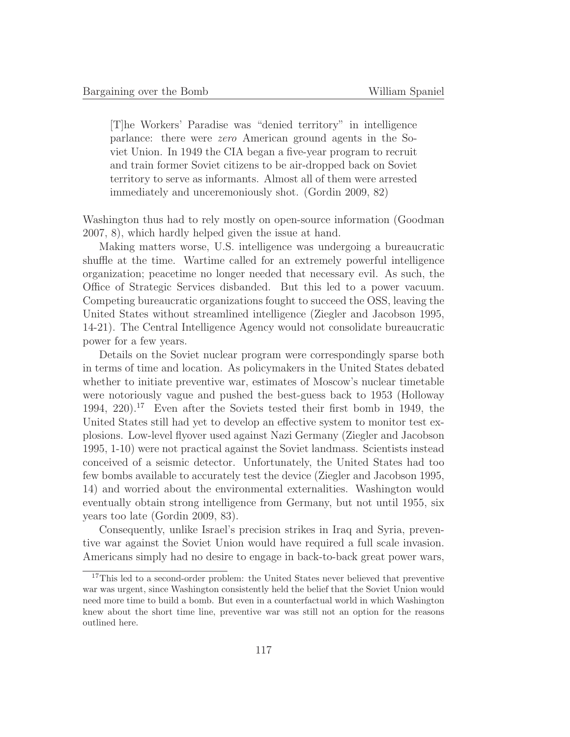[T]he Workers' Paradise was "denied territory" in intelligence parlance: there were zero American ground agents in the Soviet Union. In 1949 the CIA began a five-year program to recruit and train former Soviet citizens to be air-dropped back on Soviet territory to serve as informants. Almost all of them were arrested immediately and unceremoniously shot. (Gordin 2009, 82)

Washington thus had to rely mostly on open-source information (Goodman 2007, 8), which hardly helped given the issue at hand.

Making matters worse, U.S. intelligence was undergoing a bureaucratic shuffle at the time. Wartime called for an extremely powerful intelligence organization; peacetime no longer needed that necessary evil. As such, the Office of Strategic Services disbanded. But this led to a power vacuum. Competing bureaucratic organizations fought to succeed the OSS, leaving the United States without streamlined intelligence (Ziegler and Jacobson 1995, 14-21). The Central Intelligence Agency would not consolidate bureaucratic power for a few years.

Details on the Soviet nuclear program were correspondingly sparse both in terms of time and location. As policymakers in the United States debated whether to initiate preventive war, estimates of Moscow's nuclear timetable were notoriously vague and pushed the best-guess back to 1953 (Holloway 1994, 220).<sup>17</sup> Even after the Soviets tested their first bomb in 1949, the United States still had yet to develop an effective system to monitor test explosions. Low-level flyover used against Nazi Germany (Ziegler and Jacobson 1995, 1-10) were not practical against the Soviet landmass. Scientists instead conceived of a seismic detector. Unfortunately, the United States had too few bombs available to accurately test the device (Ziegler and Jacobson 1995, 14) and worried about the environmental externalities. Washington would eventually obtain strong intelligence from Germany, but not until 1955, six years too late (Gordin 2009, 83).

Consequently, unlike Israel's precision strikes in Iraq and Syria, preventive war against the Soviet Union would have required a full scale invasion. Americans simply had no desire to engage in back-to-back great power wars,

<sup>&</sup>lt;sup>17</sup>This led to a second-order problem: the United States never believed that preventive war was urgent, since Washington consistently held the belief that the Soviet Union would need more time to build a bomb. But even in a counterfactual world in which Washington knew about the short time line, preventive war was still not an option for the reasons outlined here.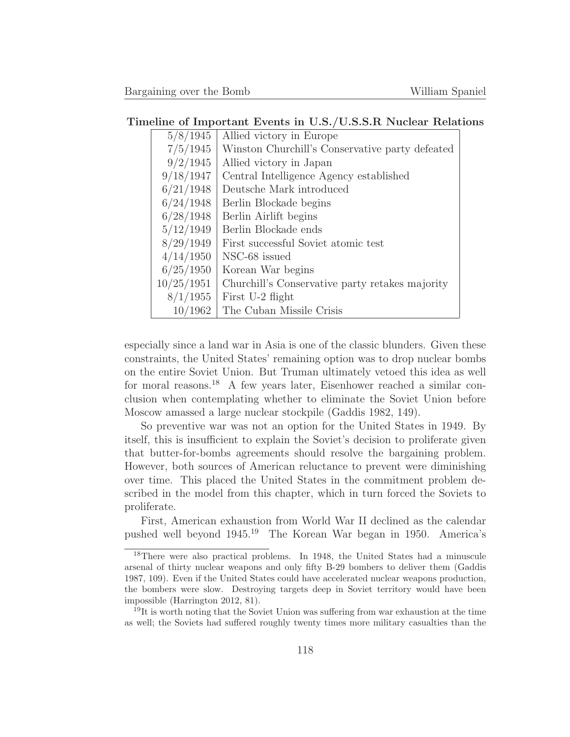#### **Timeline of Important Events in U.S./U.S.S.R Nuclear Relations**

| Allied victory in Europe                        |
|-------------------------------------------------|
| Winston Churchill's Conservative party defeated |
| Allied victory in Japan                         |
| Central Intelligence Agency established         |
| Deutsche Mark introduced                        |
| Berlin Blockade begins                          |
| Berlin Airlift begins                           |
| Berlin Blockade ends                            |
| First successful Soviet atomic test             |
| NSC-68 issued                                   |
| Korean War begins                               |
| Churchill's Conservative party retakes majority |
| First U-2 flight                                |
| The Cuban Missile Crisis                        |
|                                                 |

especially since a land war in Asia is one of the classic blunders. Given these constraints, the United States' remaining option was to drop nuclear bombs on the entire Soviet Union. But Truman ultimately vetoed this idea as well for moral reasons.<sup>18</sup> A few years later, Eisenhower reached a similar conclusion when contemplating whether to eliminate the Soviet Union before Moscow amassed a large nuclear stockpile (Gaddis 1982, 149).

So preventive war was not an option for the United States in 1949. By itself, this is insufficient to explain the Soviet's decision to proliferate given that butter-for-bombs agreements should resolve the bargaining problem. However, both sources of American reluctance to prevent were diminishing over time. This placed the United States in the commitment problem described in the model from this chapter, which in turn forced the Soviets to proliferate.

First, American exhaustion from World War II declined as the calendar pushed well beyond 1945.<sup>19</sup> The Korean War began in 1950. America's

<sup>18</sup>There were also practical problems. In 1948, the United States had a minuscule arsenal of thirty nuclear weapons and only fifty B-29 bombers to deliver them (Gaddis 1987, 109). Even if the United States could have accelerated nuclear weapons production, the bombers were slow. Destroying targets deep in Soviet territory would have been impossible (Harrington 2012, 81).

 $19$ It is worth noting that the Soviet Union was suffering from war exhaustion at the time as well; the Soviets had suffered roughly twenty times more military casualties than the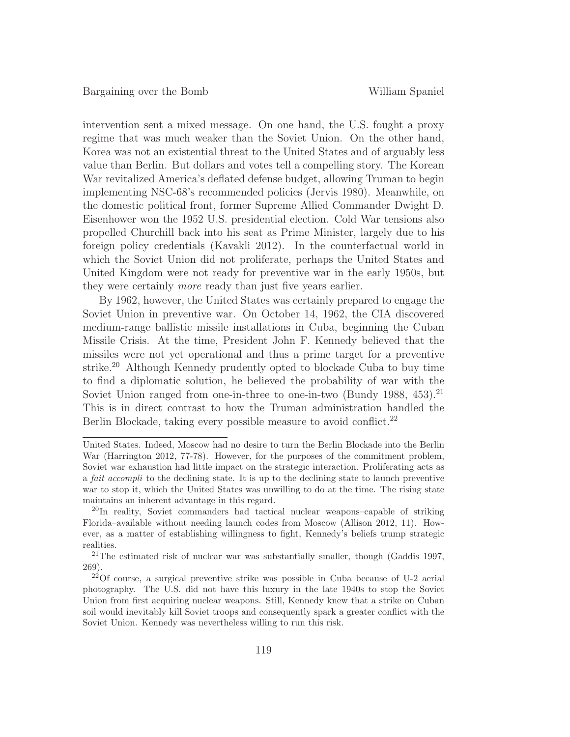intervention sent a mixed message. On one hand, the U.S. fought a proxy regime that was much weaker than the Soviet Union. On the other hand, Korea was not an existential threat to the United States and of arguably less value than Berlin. But dollars and votes tell a compelling story. The Korean War revitalized America's deflated defense budget, allowing Truman to begin implementing NSC-68's recommended policies (Jervis 1980). Meanwhile, on the domestic political front, former Supreme Allied Commander Dwight D. Eisenhower won the 1952 U.S. presidential election. Cold War tensions also propelled Churchill back into his seat as Prime Minister, largely due to his foreign policy credentials (Kavakli 2012). In the counterfactual world in which the Soviet Union did not proliferate, perhaps the United States and United Kingdom were not ready for preventive war in the early 1950s, but they were certainly more ready than just five years earlier.

By 1962, however, the United States was certainly prepared to engage the Soviet Union in preventive war. On October 14, 1962, the CIA discovered medium-range ballistic missile installations in Cuba, beginning the Cuban Missile Crisis. At the time, President John F. Kennedy believed that the missiles were not yet operational and thus a prime target for a preventive strike.<sup>20</sup> Although Kennedy prudently opted to blockade Cuba to buy time to find a diplomatic solution, he believed the probability of war with the Soviet Union ranged from one-in-three to one-in-two (Bundy 1988,  $453$ ).<sup>21</sup> This is in direct contrast to how the Truman administration handled the Berlin Blockade, taking every possible measure to avoid conflict.<sup>22</sup>

United States. Indeed, Moscow had no desire to turn the Berlin Blockade into the Berlin War (Harrington 2012, 77-78). However, for the purposes of the commitment problem, Soviet war exhaustion had little impact on the strategic interaction. Proliferating acts as a fait accompli to the declining state. It is up to the declining state to launch preventive war to stop it, which the United States was unwilling to do at the time. The rising state maintains an inherent advantage in this regard.

<sup>20</sup>In reality, Soviet commanders had tactical nuclear weapons–capable of striking Florida–available without needing launch codes from Moscow (Allison 2012, 11). However, as a matter of establishing willingness to fight, Kennedy's beliefs trump strategic realities.

<sup>21</sup>The estimated risk of nuclear war was substantially smaller, though (Gaddis 1997, 269).

 $2^{2}$ Of course, a surgical preventive strike was possible in Cuba because of U-2 aerial photography. The U.S. did not have this luxury in the late 1940s to stop the Soviet Union from first acquiring nuclear weapons. Still, Kennedy knew that a strike on Cuban soil would inevitably kill Soviet troops and consequently spark a greater conflict with the Soviet Union. Kennedy was nevertheless willing to run this risk.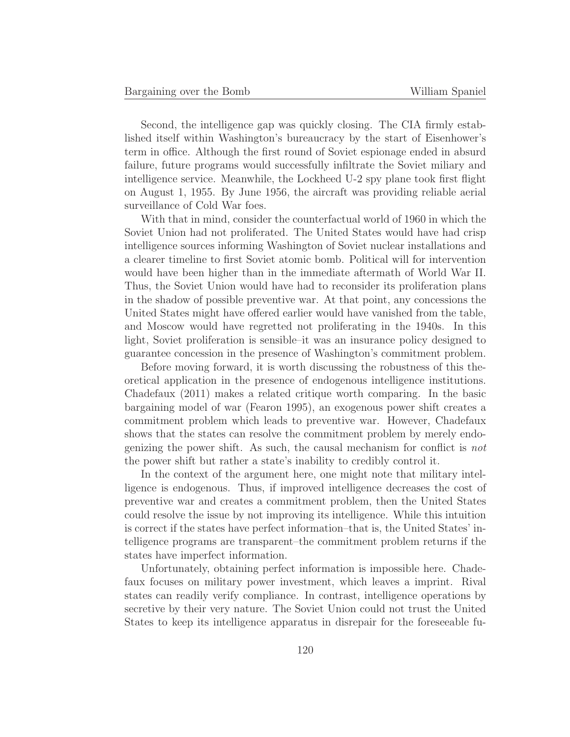Second, the intelligence gap was quickly closing. The CIA firmly established itself within Washington's bureaucracy by the start of Eisenhower's term in office. Although the first round of Soviet espionage ended in absurd failure, future programs would successfully infiltrate the Soviet miliary and intelligence service. Meanwhile, the Lockheed U-2 spy plane took first flight on August 1, 1955. By June 1956, the aircraft was providing reliable aerial surveillance of Cold War foes.

With that in mind, consider the counterfactual world of 1960 in which the Soviet Union had not proliferated. The United States would have had crisp intelligence sources informing Washington of Soviet nuclear installations and a clearer timeline to first Soviet atomic bomb. Political will for intervention would have been higher than in the immediate aftermath of World War II. Thus, the Soviet Union would have had to reconsider its proliferation plans in the shadow of possible preventive war. At that point, any concessions the United States might have offered earlier would have vanished from the table, and Moscow would have regretted not proliferating in the 1940s. In this light, Soviet proliferation is sensible–it was an insurance policy designed to guarantee concession in the presence of Washington's commitment problem.

Before moving forward, it is worth discussing the robustness of this theoretical application in the presence of endogenous intelligence institutions. Chadefaux (2011) makes a related critique worth comparing. In the basic bargaining model of war (Fearon 1995), an exogenous power shift creates a commitment problem which leads to preventive war. However, Chadefaux shows that the states can resolve the commitment problem by merely endogenizing the power shift. As such, the causal mechanism for conflict is not the power shift but rather a state's inability to credibly control it.

In the context of the argument here, one might note that military intelligence is endogenous. Thus, if improved intelligence decreases the cost of preventive war and creates a commitment problem, then the United States could resolve the issue by not improving its intelligence. While this intuition is correct if the states have perfect information–that is, the United States' intelligence programs are transparent–the commitment problem returns if the states have imperfect information.

Unfortunately, obtaining perfect information is impossible here. Chadefaux focuses on military power investment, which leaves a imprint. Rival states can readily verify compliance. In contrast, intelligence operations by secretive by their very nature. The Soviet Union could not trust the United States to keep its intelligence apparatus in disrepair for the foreseeable fu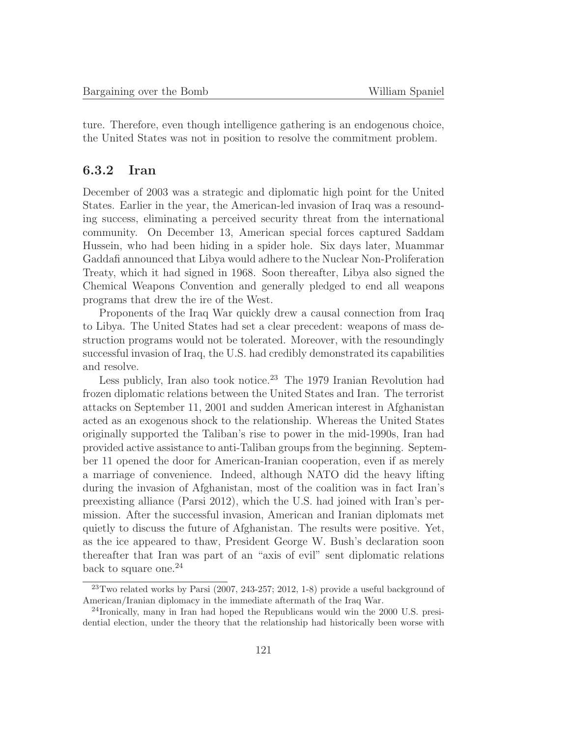ture. Therefore, even though intelligence gathering is an endogenous choice, the United States was not in position to resolve the commitment problem.

## **6.3.2 Iran**

December of 2003 was a strategic and diplomatic high point for the United States. Earlier in the year, the American-led invasion of Iraq was a resounding success, eliminating a perceived security threat from the international community. On December 13, American special forces captured Saddam Hussein, who had been hiding in a spider hole. Six days later, Muammar Gaddafi announced that Libya would adhere to the Nuclear Non-Proliferation Treaty, which it had signed in 1968. Soon thereafter, Libya also signed the Chemical Weapons Convention and generally pledged to end all weapons programs that drew the ire of the West.

Proponents of the Iraq War quickly drew a causal connection from Iraq to Libya. The United States had set a clear precedent: weapons of mass destruction programs would not be tolerated. Moreover, with the resoundingly successful invasion of Iraq, the U.S. had credibly demonstrated its capabilities and resolve.

Less publicly, Iran also took notice.<sup>23</sup> The 1979 Iranian Revolution had frozen diplomatic relations between the United States and Iran. The terrorist attacks on September 11, 2001 and sudden American interest in Afghanistan acted as an exogenous shock to the relationship. Whereas the United States originally supported the Taliban's rise to power in the mid-1990s, Iran had provided active assistance to anti-Taliban groups from the beginning. September 11 opened the door for American-Iranian cooperation, even if as merely a marriage of convenience. Indeed, although NATO did the heavy lifting during the invasion of Afghanistan, most of the coalition was in fact Iran's preexisting alliance (Parsi 2012), which the U.S. had joined with Iran's permission. After the successful invasion, American and Iranian diplomats met quietly to discuss the future of Afghanistan. The results were positive. Yet, as the ice appeared to thaw, President George W. Bush's declaration soon thereafter that Iran was part of an "axis of evil" sent diplomatic relations back to square one.<sup>24</sup>

 $^{23}$ Two related works by Parsi (2007, 243-257; 2012, 1-8) provide a useful background of American/Iranian diplomacy in the immediate aftermath of the Iraq War.

<sup>24</sup>Ironically, many in Iran had hoped the Republicans would win the 2000 U.S. presidential election, under the theory that the relationship had historically been worse with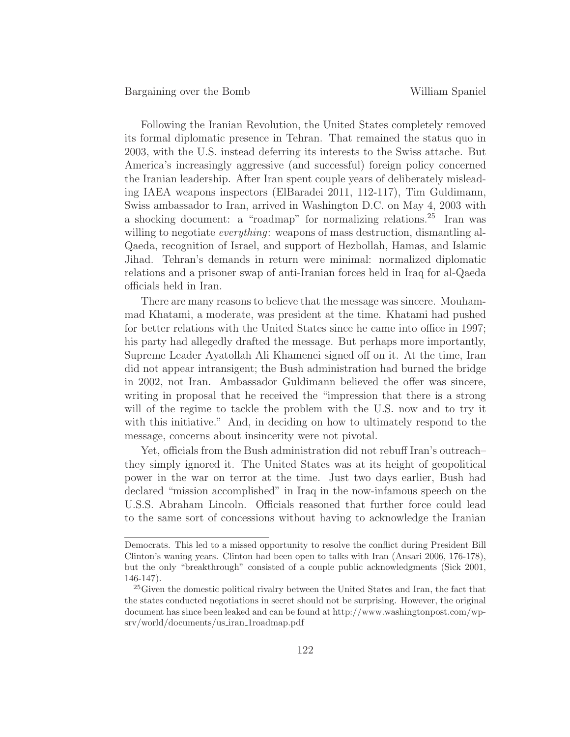Following the Iranian Revolution, the United States completely removed its formal diplomatic presence in Tehran. That remained the status quo in 2003, with the U.S. instead deferring its interests to the Swiss attache. But America's increasingly aggressive (and successful) foreign policy concerned the Iranian leadership. After Iran spent couple years of deliberately misleading IAEA weapons inspectors (ElBaradei 2011, 112-117), Tim Guldimann, Swiss ambassador to Iran, arrived in Washington D.C. on May 4, 2003 with a shocking document: a "roadmap" for normalizing relations.<sup>25</sup> Iran was willing to negotiate *everything*: weapons of mass destruction, dismantling al-Qaeda, recognition of Israel, and support of Hezbollah, Hamas, and Islamic Jihad. Tehran's demands in return were minimal: normalized diplomatic relations and a prisoner swap of anti-Iranian forces held in Iraq for al-Qaeda officials held in Iran.

There are many reasons to believe that the message was sincere. Mouhammad Khatami, a moderate, was president at the time. Khatami had pushed for better relations with the United States since he came into office in 1997; his party had allegedly drafted the message. But perhaps more importantly, Supreme Leader Ayatollah Ali Khamenei signed off on it. At the time, Iran did not appear intransigent; the Bush administration had burned the bridge in 2002, not Iran. Ambassador Guldimann believed the offer was sincere, writing in proposal that he received the "impression that there is a strong will of the regime to tackle the problem with the U.S. now and to try it with this initiative." And, in deciding on how to ultimately respond to the message, concerns about insincerity were not pivotal.

Yet, officials from the Bush administration did not rebuff Iran's outreach– they simply ignored it. The United States was at its height of geopolitical power in the war on terror at the time. Just two days earlier, Bush had declared "mission accomplished" in Iraq in the now-infamous speech on the U.S.S. Abraham Lincoln. Officials reasoned that further force could lead to the same sort of concessions without having to acknowledge the Iranian

Democrats. This led to a missed opportunity to resolve the conflict during President Bill Clinton's waning years. Clinton had been open to talks with Iran (Ansari 2006, 176-178), but the only "breakthrough" consisted of a couple public acknowledgments (Sick 2001, 146-147).

<sup>&</sup>lt;sup>25</sup>Given the domestic political rivalry between the United States and Iran, the fact that the states conducted negotiations in secret should not be surprising. However, the original document has since been leaked and can be found at http://www.washingtonpost.com/wpsrv/world/documents/us iran 1roadmap.pdf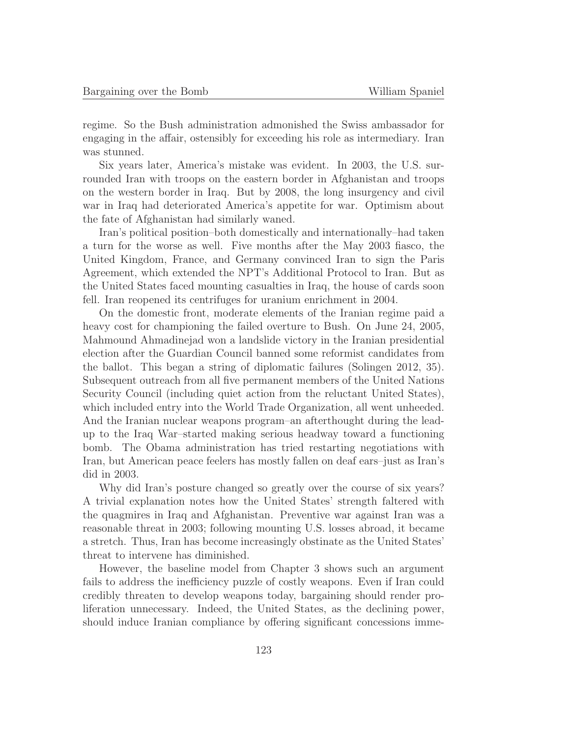regime. So the Bush administration admonished the Swiss ambassador for engaging in the affair, ostensibly for exceeding his role as intermediary. Iran was stunned.

Six years later, America's mistake was evident. In 2003, the U.S. surrounded Iran with troops on the eastern border in Afghanistan and troops on the western border in Iraq. But by 2008, the long insurgency and civil war in Iraq had deteriorated America's appetite for war. Optimism about the fate of Afghanistan had similarly waned.

Iran's political position–both domestically and internationally–had taken a turn for the worse as well. Five months after the May 2003 fiasco, the United Kingdom, France, and Germany convinced Iran to sign the Paris Agreement, which extended the NPT's Additional Protocol to Iran. But as the United States faced mounting casualties in Iraq, the house of cards soon fell. Iran reopened its centrifuges for uranium enrichment in 2004.

On the domestic front, moderate elements of the Iranian regime paid a heavy cost for championing the failed overture to Bush. On June 24, 2005, Mahmound Ahmadinejad won a landslide victory in the Iranian presidential election after the Guardian Council banned some reformist candidates from the ballot. This began a string of diplomatic failures (Solingen 2012, 35). Subsequent outreach from all five permanent members of the United Nations Security Council (including quiet action from the reluctant United States), which included entry into the World Trade Organization, all went unheeded. And the Iranian nuclear weapons program–an afterthought during the leadup to the Iraq War–started making serious headway toward a functioning bomb. The Obama administration has tried restarting negotiations with Iran, but American peace feelers has mostly fallen on deaf ears–just as Iran's did in 2003.

Why did Iran's posture changed so greatly over the course of six years? A trivial explanation notes how the United States' strength faltered with the quagmires in Iraq and Afghanistan. Preventive war against Iran was a reasonable threat in 2003; following mounting U.S. losses abroad, it became a stretch. Thus, Iran has become increasingly obstinate as the United States' threat to intervene has diminished.

However, the baseline model from Chapter 3 shows such an argument fails to address the inefficiency puzzle of costly weapons. Even if Iran could credibly threaten to develop weapons today, bargaining should render proliferation unnecessary. Indeed, the United States, as the declining power, should induce Iranian compliance by offering significant concessions imme-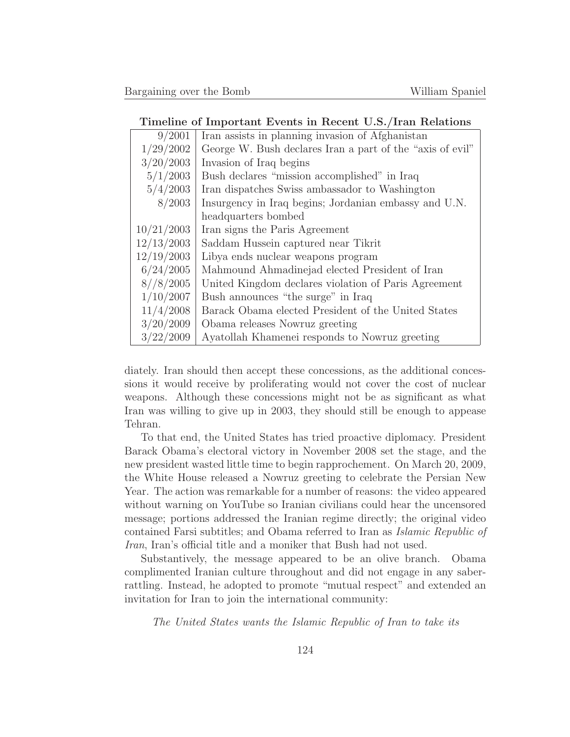#### **Timeline of Important Events in Recent U.S./Iran Relations**

| 9/2001     | Iran assists in planning invasion of Afghanistan          |
|------------|-----------------------------------------------------------|
| 1/29/2002  | George W. Bush declares Iran a part of the "axis of evil" |
| 3/20/2003  | Invasion of Iraq begins                                   |
| 5/1/2003   | Bush declares "mission accomplished" in Iraq              |
| 5/4/2003   | Iran dispatches Swiss ambassador to Washington            |
| 8/2003     | Insurgency in Iraq begins; Jordanian embassy and U.N.     |
|            | headquarters bombed                                       |
| 10/21/2003 | Iran signs the Paris Agreement                            |
| 12/13/2003 | Saddam Hussein captured near Tikrit                       |
| 12/19/2003 | Libya ends nuclear weapons program                        |
| 6/24/2005  | Mahmound Ahmadinejad elected President of Iran            |
| 8//8/2005  | United Kingdom declares violation of Paris Agreement      |
| 1/10/2007  | Bush announces "the surge" in Iraq                        |
| 11/4/2008  | Barack Obama elected President of the United States       |
| 3/20/2009  | Obama releases Nowruz greeting                            |
| 3/22/2009  | Ayatollah Khamenei responds to Nowruz greeting            |
|            |                                                           |

diately. Iran should then accept these concessions, as the additional concessions it would receive by proliferating would not cover the cost of nuclear weapons. Although these concessions might not be as significant as what Iran was willing to give up in 2003, they should still be enough to appease Tehran.

To that end, the United States has tried proactive diplomacy. President Barack Obama's electoral victory in November 2008 set the stage, and the new president wasted little time to begin rapprochement. On March 20, 2009, the White House released a Nowruz greeting to celebrate the Persian New Year. The action was remarkable for a number of reasons: the video appeared without warning on YouTube so Iranian civilians could hear the uncensored message; portions addressed the Iranian regime directly; the original video contained Farsi subtitles; and Obama referred to Iran as Islamic Republic of Iran, Iran's official title and a moniker that Bush had not used.

Substantively, the message appeared to be an olive branch. Obama complimented Iranian culture throughout and did not engage in any saberrattling. Instead, he adopted to promote "mutual respect" and extended an invitation for Iran to join the international community:

The United States wants the Islamic Republic of Iran to take its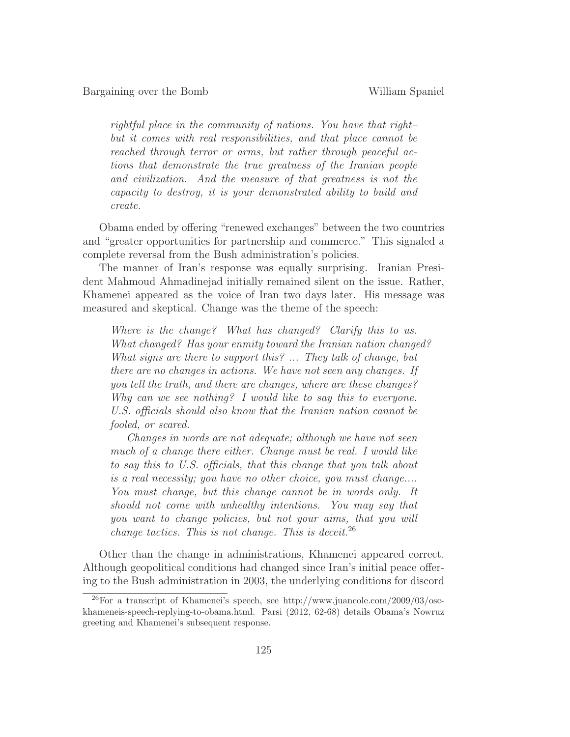rightful place in the community of nations. You have that right– but it comes with real responsibilities, and that place cannot be reached through terror or arms, but rather through peaceful actions that demonstrate the true greatness of the Iranian people and civilization. And the measure of that greatness is not the capacity to destroy, it is your demonstrated ability to build and create.

Obama ended by offering "renewed exchanges" between the two countries and "greater opportunities for partnership and commerce." This signaled a complete reversal from the Bush administration's policies.

The manner of Iran's response was equally surprising. Iranian President Mahmoud Ahmadinejad initially remained silent on the issue. Rather, Khamenei appeared as the voice of Iran two days later. His message was measured and skeptical. Change was the theme of the speech:

Where is the change? What has changed? Clarify this to us. What changed? Has your enmity toward the Iranian nation changed? What signs are there to support this? ... They talk of change, but there are no changes in actions. We have not seen any changes. If you tell the truth, and there are changes, where are these changes? Why can we see nothing? I would like to say this to everyone. U.S. officials should also know that the Iranian nation cannot be fooled, or scared.

Changes in words are not adequate; although we have not seen much of a change there either. Change must be real. I would like to say this to U.S. officials, that this change that you talk about is a real necessity; you have no other choice, you must change.... You must change, but this change cannot be in words only. It should not come with unhealthy intentions. You may say that you want to change policies, but not your aims, that you will change tactics. This is not change. This is deceit.<sup>26</sup>

Other than the change in administrations, Khamenei appeared correct. Although geopolitical conditions had changed since Iran's initial peace offering to the Bush administration in 2003, the underlying conditions for discord

 $^{26}$ For a transcript of Khamenei's speech, see http://www.juancole.com/2009/03/osckhameneis-speech-replying-to-obama.html. Parsi (2012, 62-68) details Obama's Nowruz greeting and Khamenei's subsequent response.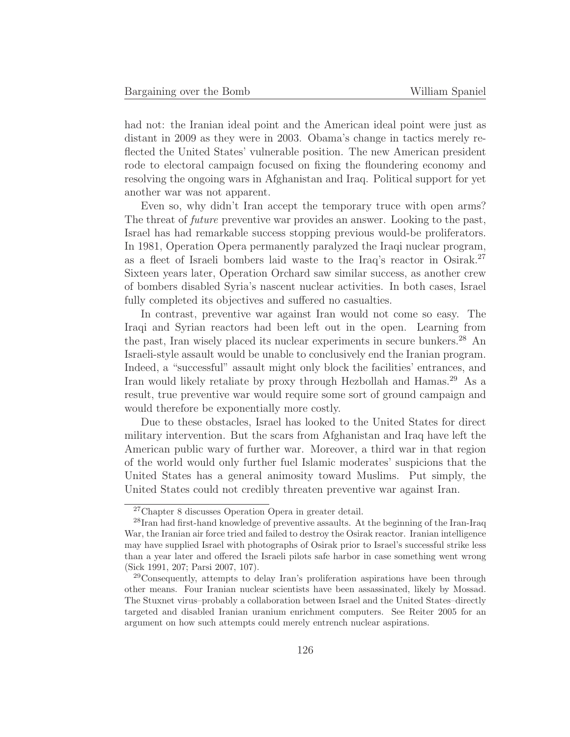had not: the Iranian ideal point and the American ideal point were just as distant in 2009 as they were in 2003. Obama's change in tactics merely reflected the United States' vulnerable position. The new American president rode to electoral campaign focused on fixing the floundering economy and resolving the ongoing wars in Afghanistan and Iraq. Political support for yet another war was not apparent.

Even so, why didn't Iran accept the temporary truce with open arms? The threat of future preventive war provides an answer. Looking to the past, Israel has had remarkable success stopping previous would-be proliferators. In 1981, Operation Opera permanently paralyzed the Iraqi nuclear program, as a fleet of Israeli bombers laid waste to the Iraq's reactor in Osirak.<sup>27</sup> Sixteen years later, Operation Orchard saw similar success, as another crew of bombers disabled Syria's nascent nuclear activities. In both cases, Israel fully completed its objectives and suffered no casualties.

In contrast, preventive war against Iran would not come so easy. The Iraqi and Syrian reactors had been left out in the open. Learning from the past, Iran wisely placed its nuclear experiments in secure bunkers.<sup>28</sup> An Israeli-style assault would be unable to conclusively end the Iranian program. Indeed, a "successful" assault might only block the facilities' entrances, and Iran would likely retaliate by proxy through Hezbollah and Hamas.<sup>29</sup> As a result, true preventive war would require some sort of ground campaign and would therefore be exponentially more costly.

Due to these obstacles, Israel has looked to the United States for direct military intervention. But the scars from Afghanistan and Iraq have left the American public wary of further war. Moreover, a third war in that region of the world would only further fuel Islamic moderates' suspicions that the United States has a general animosity toward Muslims. Put simply, the United States could not credibly threaten preventive war against Iran.

<sup>27</sup>Chapter 8 discusses Operation Opera in greater detail.

<sup>28</sup>Iran had first-hand knowledge of preventive assaults. At the beginning of the Iran-Iraq War, the Iranian air force tried and failed to destroy the Osirak reactor. Iranian intelligence may have supplied Israel with photographs of Osirak prior to Israel's successful strike less than a year later and offered the Israeli pilots safe harbor in case something went wrong (Sick 1991, 207; Parsi 2007, 107).

<sup>&</sup>lt;sup>29</sup>Consequently, attempts to delay Iran's proliferation aspirations have been through other means. Four Iranian nuclear scientists have been assassinated, likely by Mossad. The Stuxnet virus–probably a collaboration between Israel and the United States–directly targeted and disabled Iranian uranium enrichment computers. See Reiter 2005 for an argument on how such attempts could merely entrench nuclear aspirations.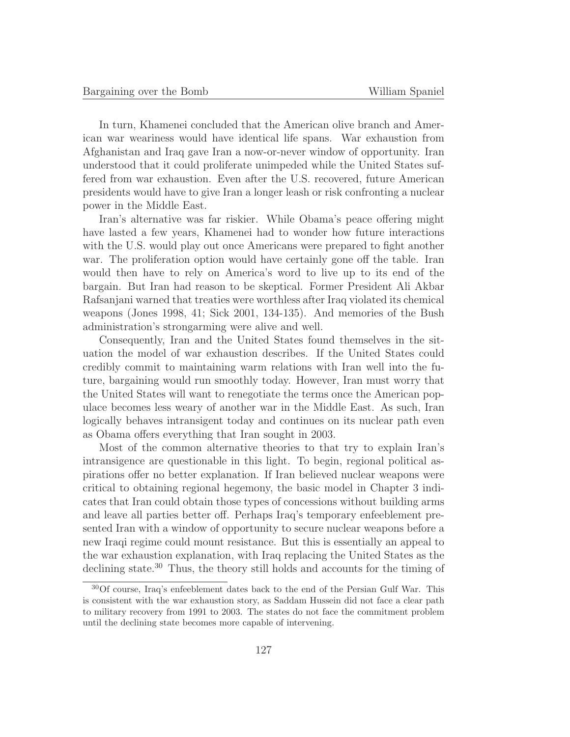In turn, Khamenei concluded that the American olive branch and American war weariness would have identical life spans. War exhaustion from Afghanistan and Iraq gave Iran a now-or-never window of opportunity. Iran understood that it could proliferate unimpeded while the United States suffered from war exhaustion. Even after the U.S. recovered, future American presidents would have to give Iran a longer leash or risk confronting a nuclear power in the Middle East.

Iran's alternative was far riskier. While Obama's peace offering might have lasted a few years, Khamenei had to wonder how future interactions with the U.S. would play out once Americans were prepared to fight another war. The proliferation option would have certainly gone off the table. Iran would then have to rely on America's word to live up to its end of the bargain. But Iran had reason to be skeptical. Former President Ali Akbar Rafsanjani warned that treaties were worthless after Iraq violated its chemical weapons (Jones 1998, 41; Sick 2001, 134-135). And memories of the Bush administration's strongarming were alive and well.

Consequently, Iran and the United States found themselves in the situation the model of war exhaustion describes. If the United States could credibly commit to maintaining warm relations with Iran well into the future, bargaining would run smoothly today. However, Iran must worry that the United States will want to renegotiate the terms once the American populace becomes less weary of another war in the Middle East. As such, Iran logically behaves intransigent today and continues on its nuclear path even as Obama offers everything that Iran sought in 2003.

Most of the common alternative theories to that try to explain Iran's intransigence are questionable in this light. To begin, regional political aspirations offer no better explanation. If Iran believed nuclear weapons were critical to obtaining regional hegemony, the basic model in Chapter 3 indicates that Iran could obtain those types of concessions without building arms and leave all parties better off. Perhaps Iraq's temporary enfeeblement presented Iran with a window of opportunity to secure nuclear weapons before a new Iraqi regime could mount resistance. But this is essentially an appeal to the war exhaustion explanation, with Iraq replacing the United States as the declining state.<sup>30</sup> Thus, the theory still holds and accounts for the timing of

<sup>30</sup>Of course, Iraq's enfeeblement dates back to the end of the Persian Gulf War. This is consistent with the war exhaustion story, as Saddam Hussein did not face a clear path to military recovery from 1991 to 2003. The states do not face the commitment problem until the declining state becomes more capable of intervening.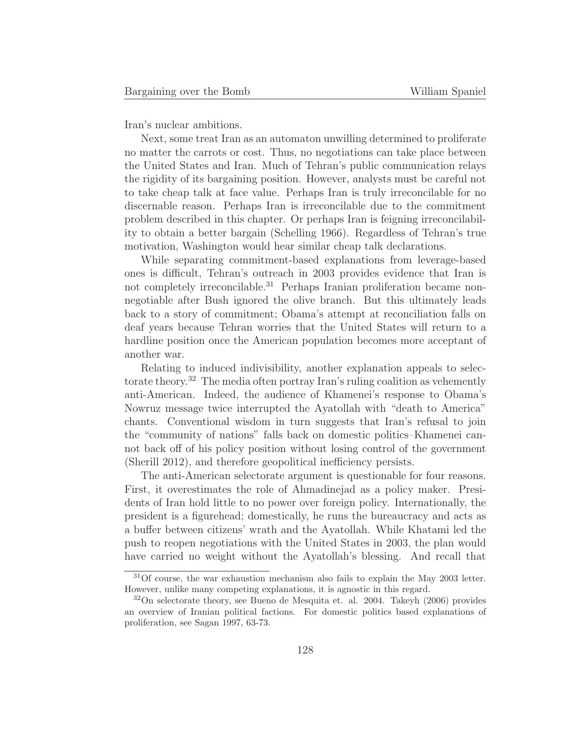Iran's nuclear ambitions.

Next, some treat Iran as an automaton unwilling determined to proliferate no matter the carrots or cost. Thus, no negotiations can take place between the United States and Iran. Much of Tehran's public communication relays the rigidity of its bargaining position. However, analysts must be careful not to take cheap talk at face value. Perhaps Iran is truly irreconcilable for no discernable reason. Perhaps Iran is irreconcilable due to the commitment problem described in this chapter. Or perhaps Iran is feigning irreconcilability to obtain a better bargain (Schelling 1966). Regardless of Tehran's true motivation, Washington would hear similar cheap talk declarations.

While separating commitment-based explanations from leverage-based ones is difficult, Tehran's outreach in 2003 provides evidence that Iran is not completely irreconcilable.<sup>31</sup> Perhaps Iranian proliferation became nonnegotiable after Bush ignored the olive branch. But this ultimately leads back to a story of commitment; Obama's attempt at reconciliation falls on deaf years because Tehran worries that the United States will return to a hardline position once the American population becomes more acceptant of another war.

Relating to induced indivisibility, another explanation appeals to selectorate theory.<sup>32</sup> The media often portray Iran's ruling coalition as vehemently anti-American. Indeed, the audience of Khamenei's response to Obama's Nowruz message twice interrupted the Ayatollah with "death to America" chants. Conventional wisdom in turn suggests that Iran's refusal to join the "community of nations" falls back on domestic politics–Khamenei cannot back off of his policy position without losing control of the government (Sherill 2012), and therefore geopolitical inefficiency persists.

The anti-American selectorate argument is questionable for four reasons. First, it overestimates the role of Ahmadinejad as a policy maker. Presidents of Iran hold little to no power over foreign policy. Internationally, the president is a figurehead; domestically, he runs the bureaucracy and acts as a buffer between citizens' wrath and the Ayatollah. While Khatami led the push to reopen negotiations with the United States in 2003, the plan would have carried no weight without the Ayatollah's blessing. And recall that

<sup>31</sup>Of course, the war exhaustion mechanism also fails to explain the May 2003 letter. However, unlike many competing explanations, it is agnostic in this regard.

 $32$ On selectorate theory, see Bueno de Mesquita et. al. 2004. Takeyh (2006) provides an overview of Iranian political factions. For domestic politics based explanations of proliferation, see Sagan 1997, 63-73.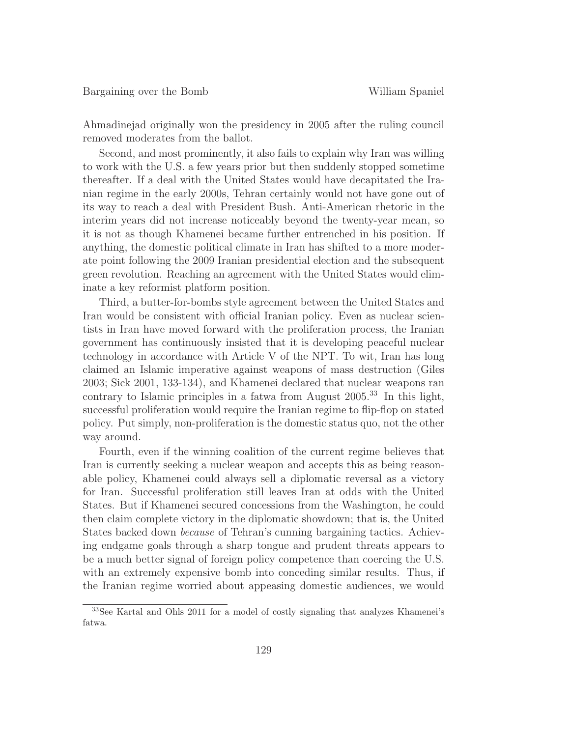Ahmadinejad originally won the presidency in 2005 after the ruling council removed moderates from the ballot.

Second, and most prominently, it also fails to explain why Iran was willing to work with the U.S. a few years prior but then suddenly stopped sometime thereafter. If a deal with the United States would have decapitated the Iranian regime in the early 2000s, Tehran certainly would not have gone out of its way to reach a deal with President Bush. Anti-American rhetoric in the interim years did not increase noticeably beyond the twenty-year mean, so it is not as though Khamenei became further entrenched in his position. If anything, the domestic political climate in Iran has shifted to a more moderate point following the 2009 Iranian presidential election and the subsequent green revolution. Reaching an agreement with the United States would eliminate a key reformist platform position.

Third, a butter-for-bombs style agreement between the United States and Iran would be consistent with official Iranian policy. Even as nuclear scientists in Iran have moved forward with the proliferation process, the Iranian government has continuously insisted that it is developing peaceful nuclear technology in accordance with Article V of the NPT. To wit, Iran has long claimed an Islamic imperative against weapons of mass destruction (Giles 2003; Sick 2001, 133-134), and Khamenei declared that nuclear weapons ran contrary to Islamic principles in a fatwa from August 2005.<sup>33</sup> In this light, successful proliferation would require the Iranian regime to flip-flop on stated policy. Put simply, non-proliferation is the domestic status quo, not the other way around.

Fourth, even if the winning coalition of the current regime believes that Iran is currently seeking a nuclear weapon and accepts this as being reasonable policy, Khamenei could always sell a diplomatic reversal as a victory for Iran. Successful proliferation still leaves Iran at odds with the United States. But if Khamenei secured concessions from the Washington, he could then claim complete victory in the diplomatic showdown; that is, the United States backed down because of Tehran's cunning bargaining tactics. Achieving endgame goals through a sharp tongue and prudent threats appears to be a much better signal of foreign policy competence than coercing the U.S. with an extremely expensive bomb into conceding similar results. Thus, if the Iranian regime worried about appeasing domestic audiences, we would

<sup>33</sup>See Kartal and Ohls 2011 for a model of costly signaling that analyzes Khamenei's fatwa.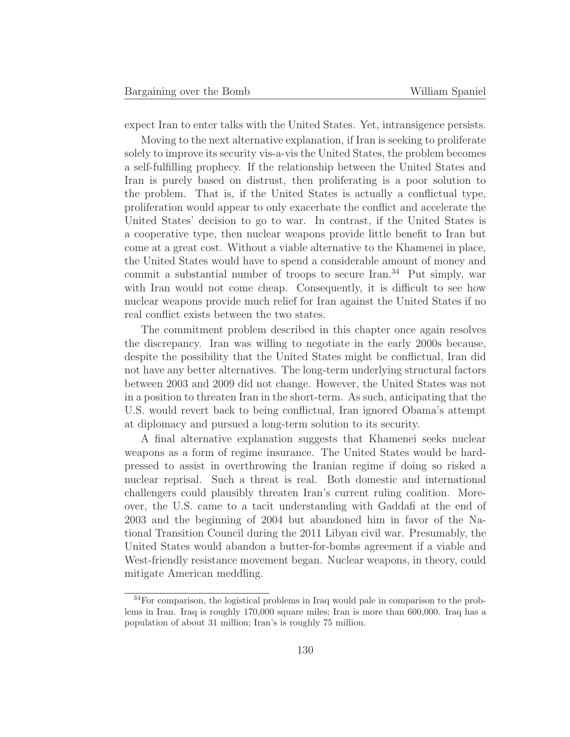expect Iran to enter talks with the United States. Yet, intransigence persists.

Moving to the next alternative explanation, if Iran is seeking to proliferate solely to improve its security vis-a-vis the United States, the problem becomes a self-fulfilling prophecy. If the relationship between the United States and Iran is purely based on distrust, then proliferating is a poor solution to the problem. That is, if the United States is actually a conflictual type, proliferation would appear to only exacerbate the conflict and accelerate the United States' decision to go to war. In contrast, if the United States is a cooperative type, then nuclear weapons provide little benefit to Iran but come at a great cost. Without a viable alternative to the Khamenei in place, the United States would have to spend a considerable amount of money and commit a substantial number of troops to secure Iran.<sup>34</sup> Put simply, war with Iran would not come cheap. Consequently, it is difficult to see how nuclear weapons provide much relief for Iran against the United States if no real conflict exists between the two states.

The commitment problem described in this chapter once again resolves the discrepancy. Iran was willing to negotiate in the early 2000s because, despite the possibility that the United States might be conflictual, Iran did not have any better alternatives. The long-term underlying structural factors between 2003 and 2009 did not change. However, the United States was not in a position to threaten Iran in the short-term. As such, anticipating that the U.S. would revert back to being conflictual, Iran ignored Obama's attempt at diplomacy and pursued a long-term solution to its security.

A final alternative explanation suggests that Khamenei seeks nuclear weapons as a form of regime insurance. The United States would be hardpressed to assist in overthrowing the Iranian regime if doing so risked a nuclear reprisal. Such a threat is real. Both domestic and international challengers could plausibly threaten Iran's current ruling coalition. Moreover, the U.S. came to a tacit understanding with Gaddafi at the end of 2003 and the beginning of 2004 but abandoned him in favor of the National Transition Council during the 2011 Libyan civil war. Presumably, the United States would abandon a butter-for-bombs agreement if a viable and West-friendly resistance movement began. Nuclear weapons, in theory, could mitigate American meddling.

<sup>34</sup>For comparison, the logistical problems in Iraq would pale in comparison to the problems in Iran. Iraq is roughly 170,000 square miles; Iran is more than 600,000. Iraq has a population of about 31 million; Iran's is roughly 75 million.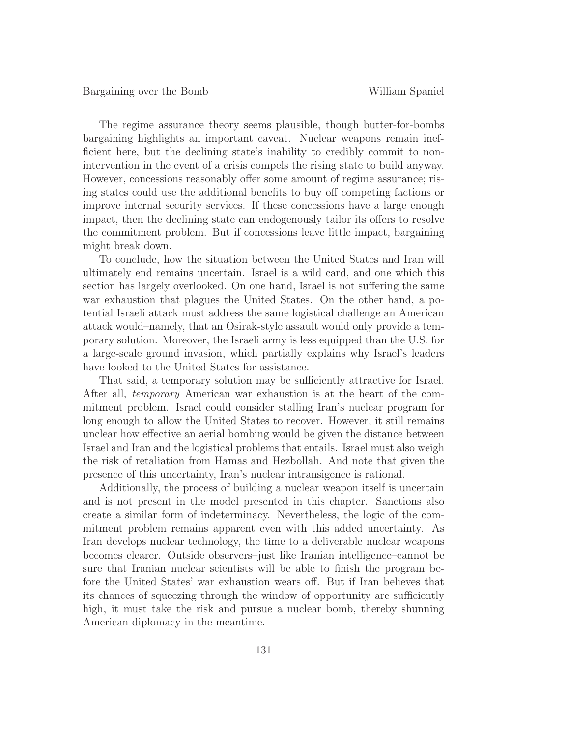The regime assurance theory seems plausible, though butter-for-bombs bargaining highlights an important caveat. Nuclear weapons remain inefficient here, but the declining state's inability to credibly commit to nonintervention in the event of a crisis compels the rising state to build anyway. However, concessions reasonably offer some amount of regime assurance; rising states could use the additional benefits to buy off competing factions or improve internal security services. If these concessions have a large enough impact, then the declining state can endogenously tailor its offers to resolve the commitment problem. But if concessions leave little impact, bargaining might break down.

To conclude, how the situation between the United States and Iran will ultimately end remains uncertain. Israel is a wild card, and one which this section has largely overlooked. On one hand, Israel is not suffering the same war exhaustion that plagues the United States. On the other hand, a potential Israeli attack must address the same logistical challenge an American attack would–namely, that an Osirak-style assault would only provide a temporary solution. Moreover, the Israeli army is less equipped than the U.S. for a large-scale ground invasion, which partially explains why Israel's leaders have looked to the United States for assistance.

That said, a temporary solution may be sufficiently attractive for Israel. After all, temporary American war exhaustion is at the heart of the commitment problem. Israel could consider stalling Iran's nuclear program for long enough to allow the United States to recover. However, it still remains unclear how effective an aerial bombing would be given the distance between Israel and Iran and the logistical problems that entails. Israel must also weigh the risk of retaliation from Hamas and Hezbollah. And note that given the presence of this uncertainty, Iran's nuclear intransigence is rational.

Additionally, the process of building a nuclear weapon itself is uncertain and is not present in the model presented in this chapter. Sanctions also create a similar form of indeterminacy. Nevertheless, the logic of the commitment problem remains apparent even with this added uncertainty. As Iran develops nuclear technology, the time to a deliverable nuclear weapons becomes clearer. Outside observers–just like Iranian intelligence–cannot be sure that Iranian nuclear scientists will be able to finish the program before the United States' war exhaustion wears off. But if Iran believes that its chances of squeezing through the window of opportunity are sufficiently high, it must take the risk and pursue a nuclear bomb, thereby shunning American diplomacy in the meantime.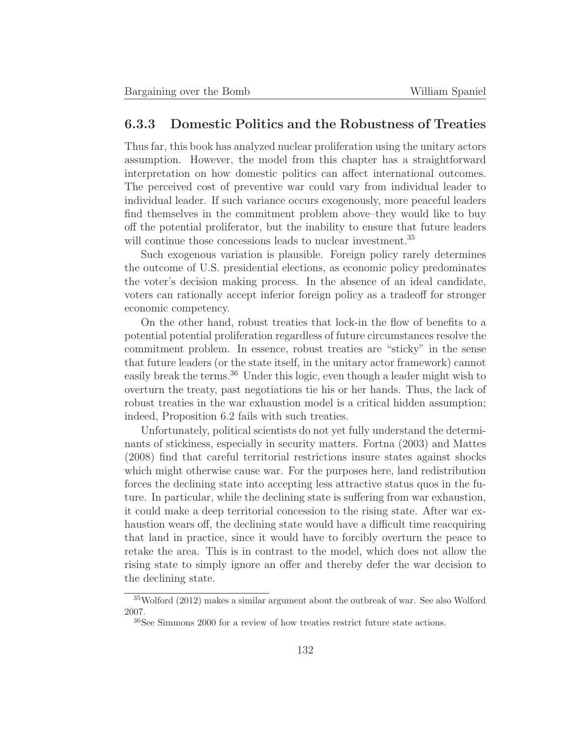## **6.3.3 Domestic Politics and the Robustness of Treaties**

Thus far, this book has analyzed nuclear proliferation using the unitary actors assumption. However, the model from this chapter has a straightforward interpretation on how domestic politics can affect international outcomes. The perceived cost of preventive war could vary from individual leader to individual leader. If such variance occurs exogenously, more peaceful leaders find themselves in the commitment problem above–they would like to buy off the potential proliferator, but the inability to ensure that future leaders will continue those concessions leads to nuclear investment.<sup>35</sup>

Such exogenous variation is plausible. Foreign policy rarely determines the outcome of U.S. presidential elections, as economic policy predominates the voter's decision making process. In the absence of an ideal candidate, voters can rationally accept inferior foreign policy as a tradeoff for stronger economic competency.

On the other hand, robust treaties that lock-in the flow of benefits to a potential potential proliferation regardless of future circumstances resolve the commitment problem. In essence, robust treaties are "sticky" in the sense that future leaders (or the state itself, in the unitary actor framework) cannot easily break the terms.<sup>36</sup> Under this logic, even though a leader might wish to overturn the treaty, past negotiations tie his or her hands. Thus, the lack of robust treaties in the war exhaustion model is a critical hidden assumption; indeed, Proposition 6.2 fails with such treaties.

Unfortunately, political scientists do not yet fully understand the determinants of stickiness, especially in security matters. Fortna (2003) and Mattes (2008) find that careful territorial restrictions insure states against shocks which might otherwise cause war. For the purposes here, land redistribution forces the declining state into accepting less attractive status quos in the future. In particular, while the declining state is suffering from war exhaustion, it could make a deep territorial concession to the rising state. After war exhaustion wears off, the declining state would have a difficult time reacquiring that land in practice, since it would have to forcibly overturn the peace to retake the area. This is in contrast to the model, which does not allow the rising state to simply ignore an offer and thereby defer the war decision to the declining state.

<sup>35</sup>Wolford (2012) makes a similar argument about the outbreak of war. See also Wolford 2007.

<sup>36</sup>See Simmons 2000 for a review of how treaties restrict future state actions.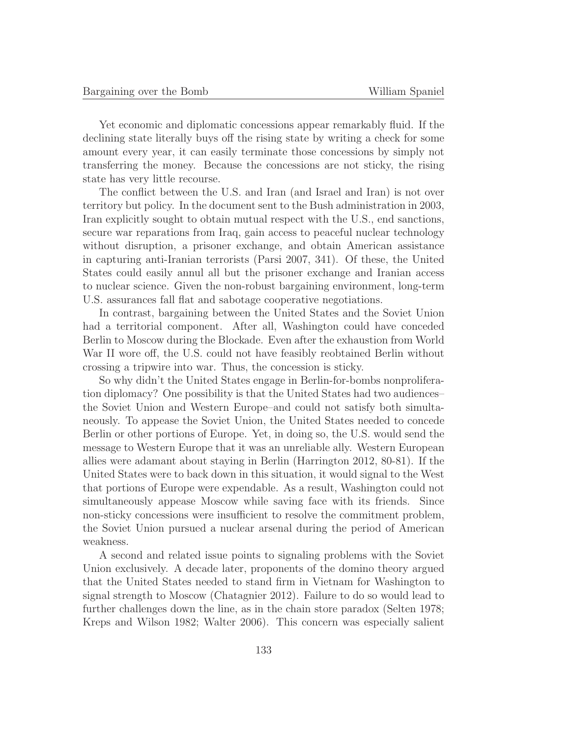Yet economic and diplomatic concessions appear remarkably fluid. If the declining state literally buys off the rising state by writing a check for some amount every year, it can easily terminate those concessions by simply not transferring the money. Because the concessions are not sticky, the rising state has very little recourse.

The conflict between the U.S. and Iran (and Israel and Iran) is not over territory but policy. In the document sent to the Bush administration in 2003, Iran explicitly sought to obtain mutual respect with the U.S., end sanctions, secure war reparations from Iraq, gain access to peaceful nuclear technology without disruption, a prisoner exchange, and obtain American assistance in capturing anti-Iranian terrorists (Parsi 2007, 341). Of these, the United States could easily annul all but the prisoner exchange and Iranian access to nuclear science. Given the non-robust bargaining environment, long-term U.S. assurances fall flat and sabotage cooperative negotiations.

In contrast, bargaining between the United States and the Soviet Union had a territorial component. After all, Washington could have conceded Berlin to Moscow during the Blockade. Even after the exhaustion from World War II wore off, the U.S. could not have feasibly reobtained Berlin without crossing a tripwire into war. Thus, the concession is sticky.

So why didn't the United States engage in Berlin-for-bombs nonproliferation diplomacy? One possibility is that the United States had two audiences– the Soviet Union and Western Europe–and could not satisfy both simultaneously. To appease the Soviet Union, the United States needed to concede Berlin or other portions of Europe. Yet, in doing so, the U.S. would send the message to Western Europe that it was an unreliable ally. Western European allies were adamant about staying in Berlin (Harrington 2012, 80-81). If the United States were to back down in this situation, it would signal to the West that portions of Europe were expendable. As a result, Washington could not simultaneously appease Moscow while saving face with its friends. Since non-sticky concessions were insufficient to resolve the commitment problem, the Soviet Union pursued a nuclear arsenal during the period of American weakness.

A second and related issue points to signaling problems with the Soviet Union exclusively. A decade later, proponents of the domino theory argued that the United States needed to stand firm in Vietnam for Washington to signal strength to Moscow (Chatagnier 2012). Failure to do so would lead to further challenges down the line, as in the chain store paradox (Selten 1978; Kreps and Wilson 1982; Walter 2006). This concern was especially salient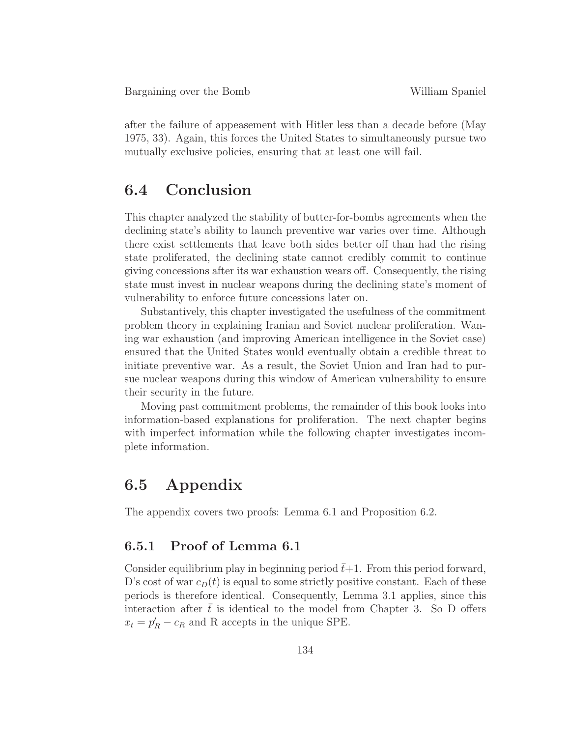after the failure of appeasement with Hitler less than a decade before (May 1975, 33). Again, this forces the United States to simultaneously pursue two mutually exclusive policies, ensuring that at least one will fail.

# **6.4 Conclusion**

This chapter analyzed the stability of butter-for-bombs agreements when the declining state's ability to launch preventive war varies over time. Although there exist settlements that leave both sides better off than had the rising state proliferated, the declining state cannot credibly commit to continue giving concessions after its war exhaustion wears off. Consequently, the rising state must invest in nuclear weapons during the declining state's moment of vulnerability to enforce future concessions later on.

Substantively, this chapter investigated the usefulness of the commitment problem theory in explaining Iranian and Soviet nuclear proliferation. Waning war exhaustion (and improving American intelligence in the Soviet case) ensured that the United States would eventually obtain a credible threat to initiate preventive war. As a result, the Soviet Union and Iran had to pursue nuclear weapons during this window of American vulnerability to ensure their security in the future.

Moving past commitment problems, the remainder of this book looks into information-based explanations for proliferation. The next chapter begins with imperfect information while the following chapter investigates incomplete information.

## **6.5 Appendix**

The appendix covers two proofs: Lemma 6.1 and Proposition 6.2.

#### **6.5.1 Proof of Lemma 6.1**

Consider equilibrium play in beginning period  $\bar{t}+1$ . From this period forward, D's cost of war  $c<sub>D</sub>(t)$  is equal to some strictly positive constant. Each of these periods is therefore identical. Consequently, Lemma 3.1 applies, since this interaction after  $\bar{t}$  is identical to the model from Chapter 3. So D offers  $x_t = p'_R - c_R$  and R accepts in the unique SPE.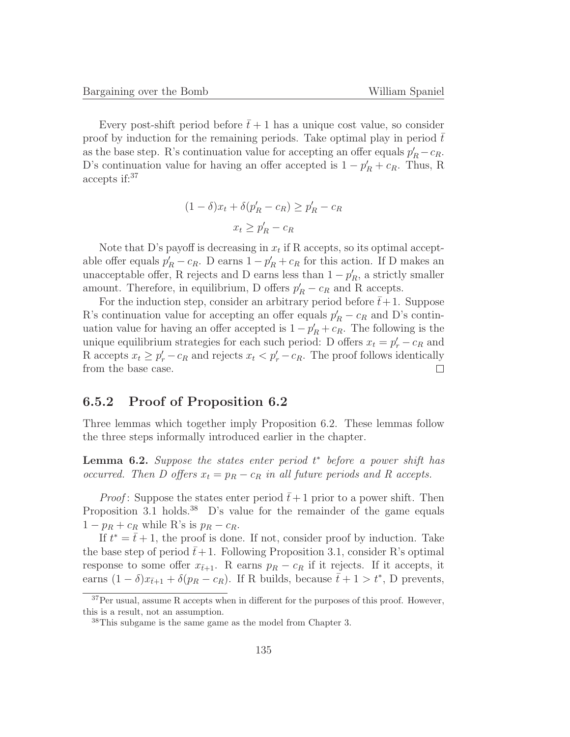Every post-shift period before  $\bar{t}+1$  has a unique cost value, so consider proof by induction for the remaining periods. Take optimal play in period  $\bar{t}$ as the base step. R's continuation value for accepting an offer equals  $p'_R - c_R$ . D's continuation value for having an offer accepted is  $1 - p'_R + c_R$ . Thus, R accepts if:<sup>37</sup>

$$
(1 - \delta)x_t + \delta(p'_R - c_R) \ge p'_R - c_R
$$

$$
x_t \ge p'_R - c_R
$$

Note that D's payoff is decreasing in  $x_t$  if R accepts, so its optimal acceptable offer equals  $p'_R - c_R$ . D earns  $1 - p'_R + c_R$  for this action. If D makes an unacceptable offer, R rejects and D earns less than  $1 - p'_R$ , a strictly smaller amount. Therefore, in equilibrium, D offers  $p'_R - c_R$  and R accepts.

For the induction step, consider an arbitrary period before  $\bar{t}+1$ . Suppose R's continuation value for accepting an offer equals  $p'_R - c_R$  and D's continuation value for having an offer accepted is  $1 - p'_R + c_R$ . The following is the unique equilibrium strategies for each such period: D offers  $x_t = p'_r - c_R$  and R accepts  $x_t \ge p'_r - c_R$  and rejects  $x_t < p'_r - c_R$ . The proof follows identically from the base case.

#### **6.5.2 Proof of Proposition 6.2**

Three lemmas which together imply Proposition 6.2. These lemmas follow the three steps informally introduced earlier in the chapter.

**Lemma 6.2.** Suppose the states enter period t<sup>\*</sup> before a power shift has occurred. Then D offers  $x_t = p_R - c_R$  in all future periods and R accepts.

*Proof*: Suppose the states enter period  $\bar{t}+1$  prior to a power shift. Then Proposition 3.1 holds.<sup>38</sup> D's value for the remainder of the game equals  $1 - p_R + c_R$  while R's is  $p_R - c_R$ .

If  $t^* = \bar{t} + 1$ , the proof is done. If not, consider proof by induction. Take the base step of period  $\bar{t}+1$ . Following Proposition 3.1, consider R's optimal response to some offer  $x_{\bar{t}+1}$ . R earns  $p_R - c_R$  if it rejects. If it accepts, it earns  $(1 - \delta)x_{\bar{t}+1} + \delta(p_R - c_R)$ . If R builds, because  $\bar{t} + 1 > t^*$ , D prevents,

<sup>37</sup>Per usual, assume R accepts when in different for the purposes of this proof. However, this is a result, not an assumption.

<sup>&</sup>lt;sup>38</sup>This subgame is the same game as the model from Chapter 3.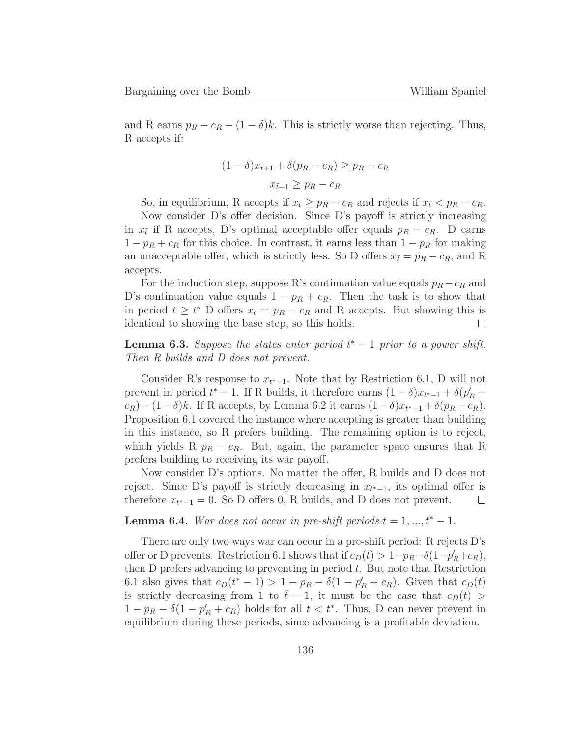and R earns  $p_R - c_R - (1 - \delta)k$ . This is strictly worse than rejecting. Thus, R accepts if:

$$
(1 - \delta)x_{\bar{t}+1} + \delta(p_R - c_R) \ge p_R - c_R
$$

$$
x_{\bar{t}+1} \ge p_R - c_R
$$

So, in equilibrium, R accepts if  $x_{\bar{t}} \geq p_R - c_R$  and rejects if  $x_{\bar{t}} < p_R - c_R$ .

Now consider D's offer decision. Since D's payoff is strictly increasing in  $x_{\bar{t}}$  if R accepts, D's optimal acceptable offer equals  $p_R - c_R$ . D earns  $1 - p_R + c_R$  for this choice. In contrast, it earns less than  $1 - p_R$  for making an unacceptable offer, which is strictly less. So D offers  $x_{\bar{t}} = p_R - c_R$ , and R accepts.

For the induction step, suppose R's continuation value equals  $p_R - c_R$  and D's continuation value equals  $1 - p_R + c_R$ . Then the task is to show that in period  $t \geq t^*$  D offers  $x_t = p_R - c_R$  and R accepts. But showing this is identical to showing the base step, so this holds.

**Lemma 6.3.** Suppose the states enter period  $t^* - 1$  prior to a power shift. Then R builds and D does not prevent.

Consider R's response to  $x_{t^*-1}$ . Note that by Restriction 6.1, D will not prevent in period  $t^* - 1$ . If R builds, it therefore earns  $(1 - \delta)x_{t^* - 1} + \delta(p'_R$  $c_R$ )−(1−δ)k. If R accepts, by Lemma 6.2 it earns  $(1-\delta)x_{t^*-1} + \delta(p_R - c_R)$ . Proposition 6.1 covered the instance where accepting is greater than building in this instance, so R prefers building. The remaining option is to reject, which yields R  $p_R - c_R$ . But, again, the parameter space ensures that R prefers building to receiving its war payoff.

Now consider D's options. No matter the offer, R builds and D does not reject. Since D's payoff is strictly decreasing in  $x_{t^*-1}$ , its optimal offer is therefore  $x_{t^*-1} = 0$ . So D offers 0, R builds, and D does not prevent. therefore  $x_{t^*-1} = 0$ . So D offers 0, R builds, and D does not prevent.

#### **Lemma 6.4.** War does not occur in pre-shift periods  $t = 1, ..., t^* - 1$ .

There are only two ways war can occur in a pre-shift period: R rejects D's offer or D prevents. Restriction 6.1 shows that if  $c_D(t) > 1-p_R-\delta(1-p'_R+c_R)$ , then  $D$  prefers advancing to preventing in period  $t$ . But note that Restriction 6.1 also gives that  $c_D(t^* - 1) > 1 - p_R - \delta(1 - p'_R + c_R)$ . Given that  $c_D(t)$ is strictly decreasing from 1 to  $\bar{t} - 1$ , it must be the case that  $c_D(t)$  >  $1 - p_R - \delta(1 - p'_R + c_R)$  holds for all  $t < t^*$ . Thus, D can never prevent in equilibrium during these periods, since advancing is a profitable deviation.